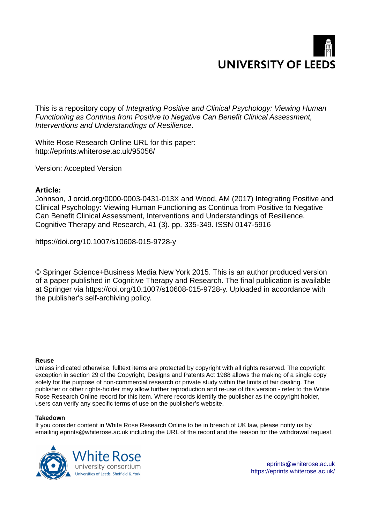

This is a repository copy of *Integrating Positive and Clinical Psychology: Viewing Human Functioning as Continua from Positive to Negative Can Benefit Clinical Assessment, Interventions and Understandings of Resilience*.

White Rose Research Online URL for this paper: http://eprints.whiterose.ac.uk/95056/

Version: Accepted Version

# **Article:**

Johnson, J orcid.org/0000-0003-0431-013X and Wood, AM (2017) Integrating Positive and Clinical Psychology: Viewing Human Functioning as Continua from Positive to Negative Can Benefit Clinical Assessment, Interventions and Understandings of Resilience. Cognitive Therapy and Research, 41 (3). pp. 335-349. ISSN 0147-5916

https://doi.org/10.1007/s10608-015-9728-y

© Springer Science+Business Media New York 2015. This is an author produced version of a paper published in Cognitive Therapy and Research. The final publication is available at Springer via https://doi.org/10.1007/s10608-015-9728-y. Uploaded in accordance with the publisher's self-archiving policy.

## **Reuse**

Unless indicated otherwise, fulltext items are protected by copyright with all rights reserved. The copyright exception in section 29 of the Copyright, Designs and Patents Act 1988 allows the making of a single copy solely for the purpose of non-commercial research or private study within the limits of fair dealing. The publisher or other rights-holder may allow further reproduction and re-use of this version - refer to the White Rose Research Online record for this item. Where records identify the publisher as the copyright holder, users can verify any specific terms of use on the publisher's website.

## **Takedown**

If you consider content in White Rose Research Online to be in breach of UK law, please notify us by emailing eprints@whiterose.ac.uk including the URL of the record and the reason for the withdrawal request.

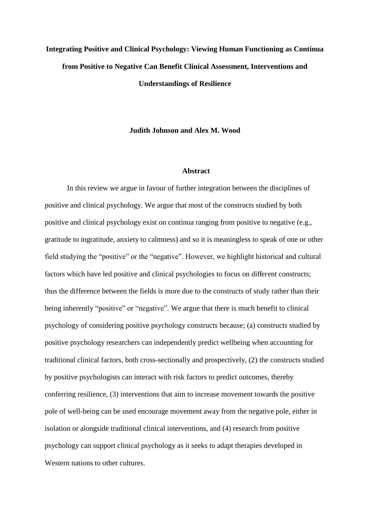# **Integrating Positive and Clinical Psychology: Viewing Human Functioning as Continua from Positive to Negative Can Benefit Clinical Assessment, Interventions and Understandings of Resilience**

## **Judith Johnson and Alex M. Wood**

#### **Abstract**

In this review we argue in favour of further integration between the disciplines of positive and clinical psychology. We argue that most of the constructs studied by both positive and clinical psychology exist on continua ranging from positive to negative (e.g., gratitude to ingratitude, anxiety to calmness) and so it is meaningless to speak of one or other field studying the "positive" or the "negative". However, we highlight historical and cultural factors which have led positive and clinical psychologies to focus on different constructs; thus the difference between the fields is more due to the constructs of study rather than their being inherently "positive" or "negative". We argue that there is much benefit to clinical psychology of considering positive psychology constructs because; (a) constructs studied by positive psychology researchers can independently predict wellbeing when accounting for traditional clinical factors, both cross-sectionally and prospectively, (2) the constructs studied by positive psychologists can interact with risk factors to predict outcomes, thereby conferring resilience, (3) interventions that aim to increase movement towards the positive pole of well-being can be used encourage movement away from the negative pole, either in isolation or alongside traditional clinical interventions, and (4) research from positive psychology can support clinical psychology as it seeks to adapt therapies developed in Western nations to other cultures.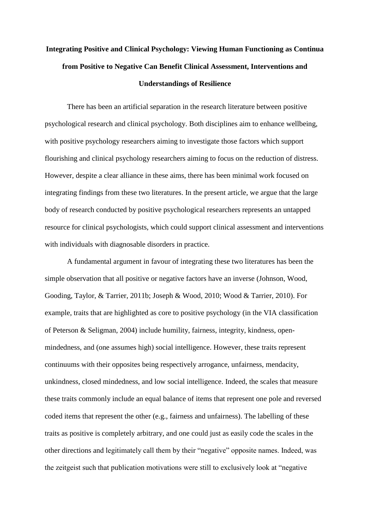# **Integrating Positive and Clinical Psychology: Viewing Human Functioning as Continua from Positive to Negative Can Benefit Clinical Assessment, Interventions and Understandings of Resilience**

There has been an artificial separation in the research literature between positive psychological research and clinical psychology. Both disciplines aim to enhance wellbeing, with positive psychology researchers aiming to investigate those factors which support flourishing and clinical psychology researchers aiming to focus on the reduction of distress. However, despite a clear alliance in these aims, there has been minimal work focused on integrating findings from these two literatures. In the present article, we argue that the large body of research conducted by positive psychological researchers represents an untapped resource for clinical psychologists, which could support clinical assessment and interventions with individuals with diagnosable disorders in practice.

A fundamental argument in favour of integrating these two literatures has been the simple observation that all positive or negative factors have an inverse (Johnson, Wood, Gooding, Taylor, & Tarrier, 2011b; Joseph & Wood, 2010; Wood & Tarrier, 2010). For example, traits that are highlighted as core to positive psychology (in the VIA classification of Peterson & Seligman, 2004) include humility, fairness, integrity, kindness, openmindedness, and (one assumes high) social intelligence. However, these traits represent continuums with their opposites being respectively arrogance, unfairness, mendacity, unkindness, closed mindedness, and low social intelligence. Indeed, the scales that measure these traits commonly include an equal balance of items that represent one pole and reversed coded items that represent the other (e.g., fairness and unfairness). The labelling of these traits as positive is completely arbitrary, and one could just as easily code the scales in the other directions and legitimately call them by their "negative" opposite names. Indeed, was the zeitgeist such that publication motivations were still to exclusively look at "negative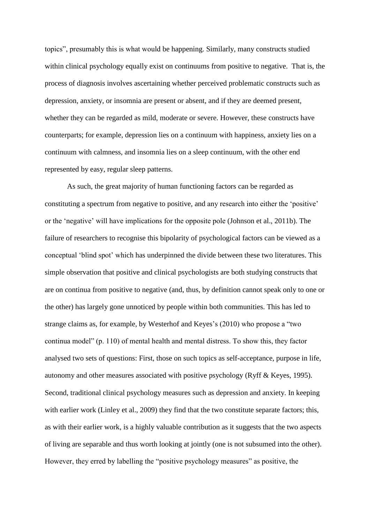topics", presumably this is what would be happening. Similarly, many constructs studied within clinical psychology equally exist on continuums from positive to negative. That is, the process of diagnosis involves ascertaining whether perceived problematic constructs such as depression, anxiety, or insomnia are present or absent, and if they are deemed present, whether they can be regarded as mild, moderate or severe. However, these constructs have counterparts; for example, depression lies on a continuum with happiness, anxiety lies on a continuum with calmness, and insomnia lies on a sleep continuum, with the other end represented by easy, regular sleep patterns.

As such, the great majority of human functioning factors can be regarded as constituting a spectrum from negative to positive, and any research into either the 'positive' or the 'negative' will have implications for the opposite pole (Johnson et al., 2011b). The failure of researchers to recognise this bipolarity of psychological factors can be viewed as a conceptual 'blind spot' which has underpinned the divide between these two literatures. This simple observation that positive and clinical psychologists are both studying constructs that are on continua from positive to negative (and, thus, by definition cannot speak only to one or the other) has largely gone unnoticed by people within both communities. This has led to strange claims as, for example, by Westerhof and Keyes's (2010) who propose a "two continua model" (p. 110) of mental health and mental distress. To show this, they factor analysed two sets of questions: First, those on such topics as self-acceptance, purpose in life, autonomy and other measures associated with positive psychology (Ryff & Keyes, 1995). Second, traditional clinical psychology measures such as depression and anxiety. In keeping with earlier work (Linley et al., 2009) they find that the two constitute separate factors; this, as with their earlier work, is a highly valuable contribution as it suggests that the two aspects of living are separable and thus worth looking at jointly (one is not subsumed into the other). However, they erred by labelling the "positive psychology measures" as positive, the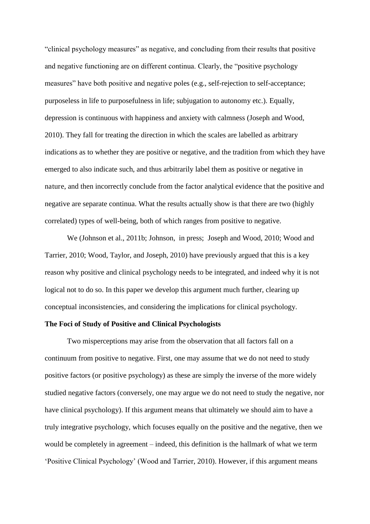"clinical psychology measures" as negative, and concluding from their results that positive and negative functioning are on different continua. Clearly, the "positive psychology measures" have both positive and negative poles (e.g., self-rejection to self-acceptance; purposeless in life to purposefulness in life; subjugation to autonomy etc.). Equally, depression is continuous with happiness and anxiety with calmness (Joseph and Wood, 2010). They fall for treating the direction in which the scales are labelled as arbitrary indications as to whether they are positive or negative, and the tradition from which they have emerged to also indicate such, and thus arbitrarily label them as positive or negative in nature, and then incorrectly conclude from the factor analytical evidence that the positive and negative are separate continua. What the results actually show is that there are two (highly correlated) types of well-being, both of which ranges from positive to negative.

We (Johnson et al., 2011b; Johnson, in press; Joseph and Wood, 2010; Wood and Tarrier, 2010; Wood, Taylor, and Joseph, 2010) have previously argued that this is a key reason why positive and clinical psychology needs to be integrated, and indeed why it is not logical not to do so. In this paper we develop this argument much further, clearing up conceptual inconsistencies, and considering the implications for clinical psychology.

# **The Foci of Study of Positive and Clinical Psychologists**

Two misperceptions may arise from the observation that all factors fall on a continuum from positive to negative. First, one may assume that we do not need to study positive factors (or positive psychology) as these are simply the inverse of the more widely studied negative factors (conversely, one may argue we do not need to study the negative, nor have clinical psychology). If this argument means that ultimately we should aim to have a truly integrative psychology, which focuses equally on the positive and the negative, then we would be completely in agreement – indeed, this definition is the hallmark of what we term 'Positive Clinical Psychology' (Wood and Tarrier, 2010). However, if this argument means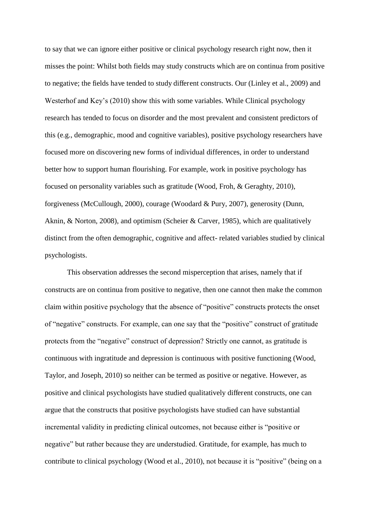to say that we can ignore either positive or clinical psychology research right now, then it misses the point: Whilst both fields may study constructs which are on continua from positive to negative; the fields have tended to study different constructs. Our (Linley et al., 2009) and Westerhof and Key's (2010) show this with some variables. While Clinical psychology research has tended to focus on disorder and the most prevalent and consistent predictors of this (e.g., demographic, mood and cognitive variables), positive psychology researchers have focused more on discovering new forms of individual differences, in order to understand better how to support human flourishing. For example, work in positive psychology has focused on personality variables such as gratitude (Wood, Froh, & Geraghty, 2010), forgiveness (McCullough, 2000), courage (Woodard & Pury, 2007), generosity (Dunn, Aknin, & Norton, 2008), and optimism (Scheier & Carver, 1985), which are qualitatively distinct from the often demographic, cognitive and affect- related variables studied by clinical psychologists.

This observation addresses the second misperception that arises, namely that if constructs are on continua from positive to negative, then one cannot then make the common claim within positive psychology that the absence of "positive" constructs protects the onset of "negative" constructs. For example, can one say that the "positive" construct of gratitude protects from the "negative" construct of depression? Strictly one cannot, as gratitude is continuous with ingratitude and depression is continuous with positive functioning (Wood, Taylor, and Joseph, 2010) so neither can be termed as positive or negative. However, as positive and clinical psychologists have studied qualitatively different constructs, one can argue that the constructs that positive psychologists have studied can have substantial incremental validity in predicting clinical outcomes, not because either is "positive or negative" but rather because they are understudied. Gratitude, for example, has much to contribute to clinical psychology (Wood et al., 2010), not because it is "positive" (being on a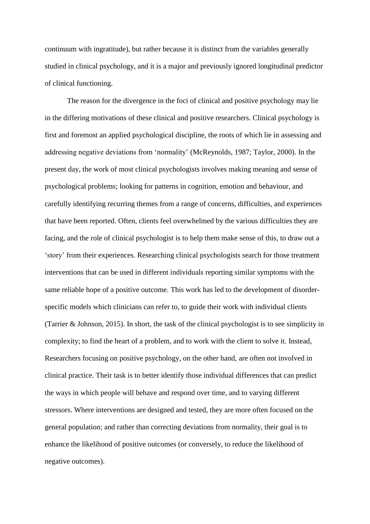continuum with ingratitude), but rather because it is distinct from the variables generally studied in clinical psychology, and it is a major and previously ignored longitudinal predictor of clinical functioning.

The reason for the divergence in the foci of clinical and positive psychology may lie in the differing motivations of these clinical and positive researchers. Clinical psychology is first and foremost an applied psychological discipline, the roots of which lie in assessing and addressing negative deviations from 'normality' (McReynolds, 1987; Taylor, 2000). In the present day, the work of most clinical psychologists involves making meaning and sense of psychological problems; looking for patterns in cognition, emotion and behaviour, and carefully identifying recurring themes from a range of concerns, difficulties, and experiences that have been reported. Often, clients feel overwhelmed by the various difficulties they are facing, and the role of clinical psychologist is to help them make sense of this, to draw out a 'story' from their experiences. Researching clinical psychologists search for those treatment interventions that can be used in different individuals reporting similar symptoms with the same reliable hope of a positive outcome. This work has led to the development of disorderspecific models which clinicians can refer to, to guide their work with individual clients (Tarrier & Johnson, 2015). In short, the task of the clinical psychologist is to see simplicity in complexity; to find the heart of a problem, and to work with the client to solve it. Instead, Researchers focusing on positive psychology, on the other hand, are often not involved in clinical practice. Their task is to better identify those individual differences that can predict the ways in which people will behave and respond over time, and to varying different stressors. Where interventions are designed and tested, they are more often focused on the general population; and rather than correcting deviations from normality, their goal is to enhance the likelihood of positive outcomes (or conversely, to reduce the likelihood of negative outcomes).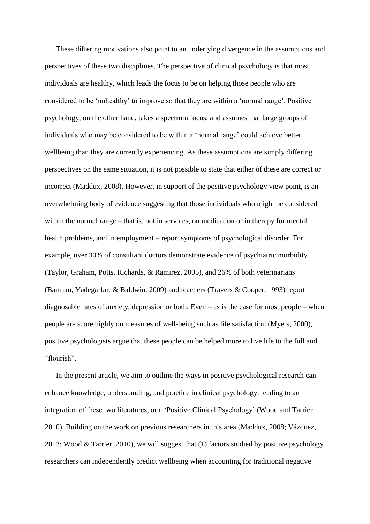These differing motivations also point to an underlying divergence in the assumptions and perspectives of these two disciplines. The perspective of clinical psychology is that most individuals are healthy, which leads the focus to be on helping those people who are considered to be 'unhealthy' to improve so that they are within a 'normal range'. Positive psychology, on the other hand, takes a spectrum focus, and assumes that large groups of individuals who may be considered to be within a 'normal range' could achieve better wellbeing than they are currently experiencing. As these assumptions are simply differing perspectives on the same situation, it is not possible to state that either of these are correct or incorrect (Maddux, 2008). However, in support of the positive psychology view point, is an overwhelming body of evidence suggesting that those individuals who might be considered within the normal range – that is, not in services, on medication or in therapy for mental health problems, and in employment – report symptoms of psychological disorder. For example, over 30% of consultant doctors demonstrate evidence of psychiatric morbidity (Taylor, Graham, Potts, Richards, & Ramirez, 2005), and 26% of both veterinarians (Bartram, Yadegarfar, & Baldwin, 2009) and teachers (Travers & Cooper, 1993) report diagnosable rates of anxiety, depression or both. Even – as is the case for most people – when people are score highly on measures of well-being such as life satisfaction (Myers, 2000), positive psychologists argue that these people can be helped more to live life to the full and "flourish".

In the present article, we aim to outline the ways in positive psychological research can enhance knowledge, understanding, and practice in clinical psychology, leading to an integration of these two literatures, or a 'Positive Clinical Psychology' (Wood and Tarrier, 2010). Building on the work on previous researchers in this area (Maddux, 2008; Vázquez, 2013; Wood & Tarrier, 2010), we will suggest that (1) factors studied by positive psychology researchers can independently predict wellbeing when accounting for traditional negative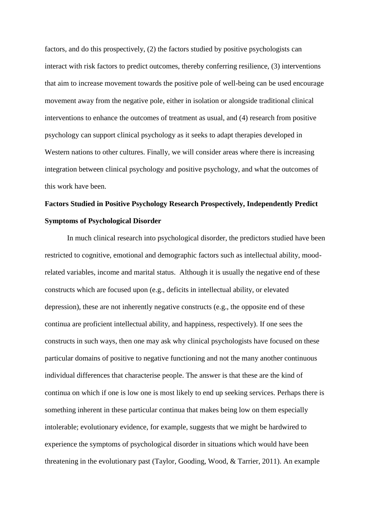factors, and do this prospectively, (2) the factors studied by positive psychologists can interact with risk factors to predict outcomes, thereby conferring resilience, (3) interventions that aim to increase movement towards the positive pole of well-being can be used encourage movement away from the negative pole, either in isolation or alongside traditional clinical interventions to enhance the outcomes of treatment as usual, and (4) research from positive psychology can support clinical psychology as it seeks to adapt therapies developed in Western nations to other cultures. Finally, we will consider areas where there is increasing integration between clinical psychology and positive psychology, and what the outcomes of this work have been.

# **Factors Studied in Positive Psychology Research Prospectively, Independently Predict Symptoms of Psychological Disorder**

In much clinical research into psychological disorder, the predictors studied have been restricted to cognitive, emotional and demographic factors such as intellectual ability, moodrelated variables, income and marital status. Although it is usually the negative end of these constructs which are focused upon (e.g., deficits in intellectual ability, or elevated depression), these are not inherently negative constructs (e.g., the opposite end of these continua are proficient intellectual ability, and happiness, respectively). If one sees the constructs in such ways, then one may ask why clinical psychologists have focused on these particular domains of positive to negative functioning and not the many another continuous individual differences that characterise people. The answer is that these are the kind of continua on which if one is low one is most likely to end up seeking services. Perhaps there is something inherent in these particular continua that makes being low on them especially intolerable; evolutionary evidence, for example, suggests that we might be hardwired to experience the symptoms of psychological disorder in situations which would have been threatening in the evolutionary past (Taylor, Gooding, Wood, & Tarrier, 2011). An example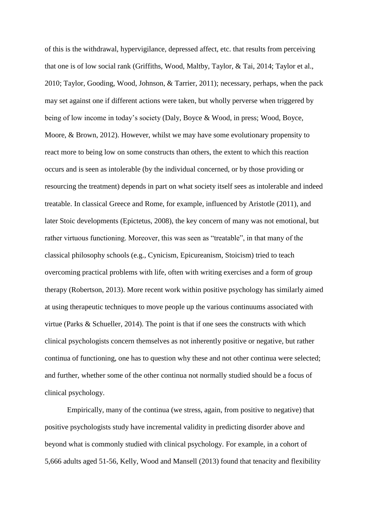of this is the withdrawal, hypervigilance, depressed affect, etc. that results from perceiving that one is of low social rank (Griffiths, Wood, Maltby, Taylor, & Tai, 2014; Taylor et al., 2010; Taylor, Gooding, Wood, Johnson, & Tarrier, 2011); necessary, perhaps, when the pack may set against one if different actions were taken, but wholly perverse when triggered by being of low income in today's society (Daly, Boyce & Wood, in press; Wood, Boyce, Moore, & Brown, 2012). However, whilst we may have some evolutionary propensity to react more to being low on some constructs than others, the extent to which this reaction occurs and is seen as intolerable (by the individual concerned, or by those providing or resourcing the treatment) depends in part on what society itself sees as intolerable and indeed treatable. In classical Greece and Rome, for example, influenced by Aristotle (2011), and later Stoic developments (Epictetus, 2008), the key concern of many was not emotional, but rather virtuous functioning. Moreover, this was seen as "treatable", in that many of the classical philosophy schools (e.g., Cynicism, Epicureanism, Stoicism) tried to teach overcoming practical problems with life, often with writing exercises and a form of group therapy (Robertson, 2013). More recent work within positive psychology has similarly aimed at using therapeutic techniques to move people up the various continuums associated with virtue (Parks & Schueller, 2014). The point is that if one sees the constructs with which clinical psychologists concern themselves as not inherently positive or negative, but rather continua of functioning, one has to question why these and not other continua were selected; and further, whether some of the other continua not normally studied should be a focus of clinical psychology.

Empirically, many of the continua (we stress, again, from positive to negative) that positive psychologists study have incremental validity in predicting disorder above and beyond what is commonly studied with clinical psychology. For example, in a cohort of 5,666 adults aged 51-56, Kelly, Wood and Mansell (2013) found that tenacity and flexibility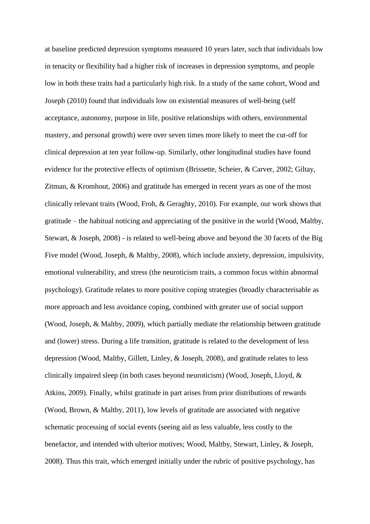at baseline predicted depression symptoms measured 10 years later, such that individuals low in tenacity or flexibility had a higher risk of increases in depression symptoms, and people low in both these traits had a particularly high risk. In a study of the same cohort, Wood and Joseph (2010) found that individuals low on existential measures of well-being (self acceptance, autonomy, purpose in life, positive relationships with others, environmental mastery, and personal growth) were over seven times more likely to meet the cut-off for clinical depression at ten year follow-up. Similarly, other longitudinal studies have found evidence for the protective effects of optimism (Brissette, Scheier, & Carver, 2002; Giltay, Zitman, & Kromhout, 2006) and gratitude has emerged in recent years as one of the most clinically relevant traits (Wood, Froh, & Geraghty, 2010). For example, our work shows that gratitude – the habitual noticing and appreciating of the positive in the world (Wood, Maltby, Stewart, & Joseph, 2008) - is related to well-being above and beyond the 30 facets of the Big Five model (Wood, Joseph, & Maltby, 2008), which include anxiety, depression, impulsivity, emotional vulnerability, and stress (the neuroticism traits, a common focus within abnormal psychology). Gratitude relates to more positive coping strategies (broadly characterisable as more approach and less avoidance coping, combined with greater use of social support (Wood, Joseph, & Maltby, 2009), which partially mediate the relationship between gratitude and (lower) stress. During a life transition, gratitude is related to the development of less depression (Wood, Maltby, Gillett, Linley, & Joseph, 2008), and gratitude relates to less clinically impaired sleep (in both cases beyond neuroticism) (Wood, Joseph, Lloyd, & Atkins, 2009). Finally, whilst gratitude in part arises from prior distributions of rewards (Wood, Brown, & Maltby, 2011), low levels of gratitude are associated with negative schematic processing of social events (seeing aid as less valuable, less costly to the benefactor, and intended with ulterior motives; Wood, Maltby, Stewart, Linley, & Joseph, 2008). Thus this trait, which emerged initially under the rubric of positive psychology, has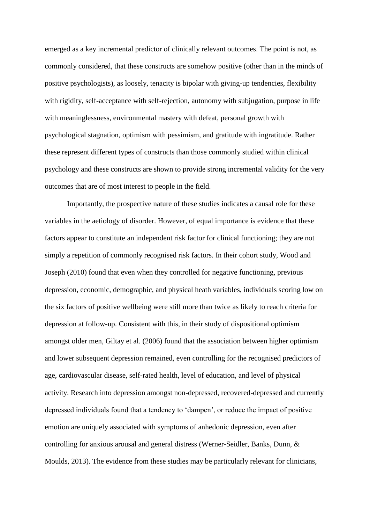emerged as a key incremental predictor of clinically relevant outcomes. The point is not, as commonly considered, that these constructs are somehow positive (other than in the minds of positive psychologists), as loosely, tenacity is bipolar with giving-up tendencies, flexibility with rigidity, self-acceptance with self-rejection, autonomy with subjugation, purpose in life with meaninglessness, environmental mastery with defeat, personal growth with psychological stagnation, optimism with pessimism, and gratitude with ingratitude. Rather these represent different types of constructs than those commonly studied within clinical psychology and these constructs are shown to provide strong incremental validity for the very outcomes that are of most interest to people in the field.

Importantly, the prospective nature of these studies indicates a causal role for these variables in the aetiology of disorder. However, of equal importance is evidence that these factors appear to constitute an independent risk factor for clinical functioning; they are not simply a repetition of commonly recognised risk factors. In their cohort study, Wood and Joseph (2010) found that even when they controlled for negative functioning, previous depression, economic, demographic, and physical heath variables, individuals scoring low on the six factors of positive wellbeing were still more than twice as likely to reach criteria for depression at follow-up. Consistent with this, in their study of dispositional optimism amongst older men, Giltay et al. (2006) found that the association between higher optimism and lower subsequent depression remained, even controlling for the recognised predictors of age, cardiovascular disease, self-rated health, level of education, and level of physical activity. Research into depression amongst non-depressed, recovered-depressed and currently depressed individuals found that a tendency to 'dampen', or reduce the impact of positive emotion are uniquely associated with symptoms of anhedonic depression, even after controlling for anxious arousal and general distress (Werner-Seidler, Banks, Dunn, & Moulds, 2013). The evidence from these studies may be particularly relevant for clinicians,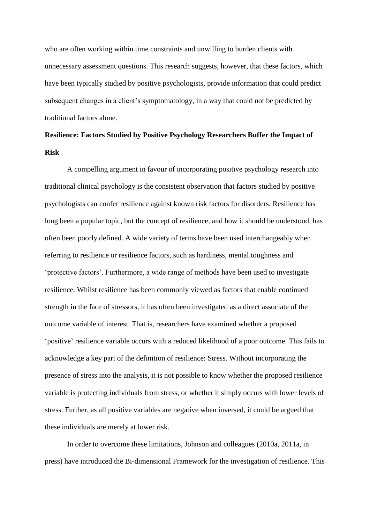who are often working within time constraints and unwilling to burden clients with unnecessary assessment questions. This research suggests, however, that these factors, which have been typically studied by positive psychologists, provide information that could predict subsequent changes in a client's symptomatology, in a way that could not be predicted by traditional factors alone.

# **Resilience: Factors Studied by Positive Psychology Researchers Buffer the Impact of Risk**

A compelling argument in favour of incorporating positive psychology research into traditional clinical psychology is the consistent observation that factors studied by positive psychologists can confer resilience against known risk factors for disorders. Resilience has long been a popular topic, but the concept of resilience, and how it should be understood, has often been poorly defined. A wide variety of terms have been used interchangeably when referring to resilience or resilience factors, such as hardiness, mental toughness and 'protective factors'. Furthermore, a wide range of methods have been used to investigate resilience. Whilst resilience has been commonly viewed as factors that enable continued strength in the face of stressors, it has often been investigated as a direct associate of the outcome variable of interest. That is, researchers have examined whether a proposed 'positive' resilience variable occurs with a reduced likelihood of a poor outcome. This fails to acknowledge a key part of the definition of resilience: Stress. Without incorporating the presence of stress into the analysis, it is not possible to know whether the proposed resilience variable is protecting individuals from stress, or whether it simply occurs with lower levels of stress. Further, as all positive variables are negative when inversed, it could be argued that these individuals are merely at lower risk.

In order to overcome these limitations, Johnson and colleagues (2010a, 2011a, in press) have introduced the Bi-dimensional Framework for the investigation of resilience. This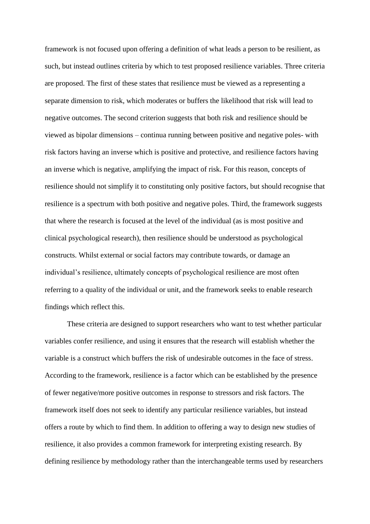framework is not focused upon offering a definition of what leads a person to be resilient, as such, but instead outlines criteria by which to test proposed resilience variables. Three criteria are proposed. The first of these states that resilience must be viewed as a representing a separate dimension to risk, which moderates or buffers the likelihood that risk will lead to negative outcomes. The second criterion suggests that both risk and resilience should be viewed as bipolar dimensions – continua running between positive and negative poles- with risk factors having an inverse which is positive and protective, and resilience factors having an inverse which is negative, amplifying the impact of risk. For this reason, concepts of resilience should not simplify it to constituting only positive factors, but should recognise that resilience is a spectrum with both positive and negative poles. Third, the framework suggests that where the research is focused at the level of the individual (as is most positive and clinical psychological research), then resilience should be understood as psychological constructs. Whilst external or social factors may contribute towards, or damage an individual's resilience, ultimately concepts of psychological resilience are most often referring to a quality of the individual or unit, and the framework seeks to enable research findings which reflect this.

These criteria are designed to support researchers who want to test whether particular variables confer resilience, and using it ensures that the research will establish whether the variable is a construct which buffers the risk of undesirable outcomes in the face of stress. According to the framework, resilience is a factor which can be established by the presence of fewer negative/more positive outcomes in response to stressors and risk factors. The framework itself does not seek to identify any particular resilience variables, but instead offers a route by which to find them. In addition to offering a way to design new studies of resilience, it also provides a common framework for interpreting existing research. By defining resilience by methodology rather than the interchangeable terms used by researchers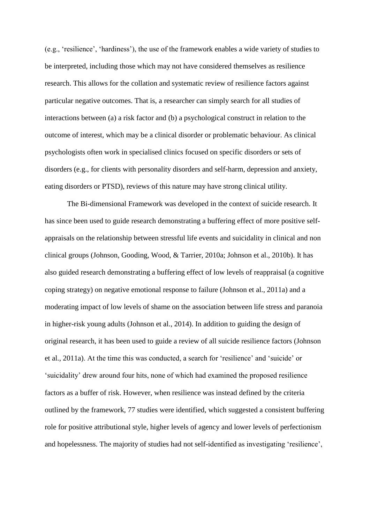(e.g., 'resilience', 'hardiness'), the use of the framework enables a wide variety of studies to be interpreted, including those which may not have considered themselves as resilience research. This allows for the collation and systematic review of resilience factors against particular negative outcomes. That is, a researcher can simply search for all studies of interactions between (a) a risk factor and (b) a psychological construct in relation to the outcome of interest, which may be a clinical disorder or problematic behaviour. As clinical psychologists often work in specialised clinics focused on specific disorders or sets of disorders (e.g., for clients with personality disorders and self-harm, depression and anxiety, eating disorders or PTSD), reviews of this nature may have strong clinical utility.

The Bi-dimensional Framework was developed in the context of suicide research. It has since been used to guide research demonstrating a buffering effect of more positive selfappraisals on the relationship between stressful life events and suicidality in clinical and non clinical groups (Johnson, Gooding, Wood, & Tarrier, 2010a; Johnson et al., 2010b). It has also guided research demonstrating a buffering effect of low levels of reappraisal (a cognitive coping strategy) on negative emotional response to failure (Johnson et al., 2011a) and a moderating impact of low levels of shame on the association between life stress and paranoia in higher-risk young adults (Johnson et al., 2014). In addition to guiding the design of original research, it has been used to guide a review of all suicide resilience factors (Johnson et al., 2011a). At the time this was conducted, a search for 'resilience' and 'suicide' or 'suicidality' drew around four hits, none of which had examined the proposed resilience factors as a buffer of risk. However, when resilience was instead defined by the criteria outlined by the framework, 77 studies were identified, which suggested a consistent buffering role for positive attributional style, higher levels of agency and lower levels of perfectionism and hopelessness. The majority of studies had not self-identified as investigating 'resilience',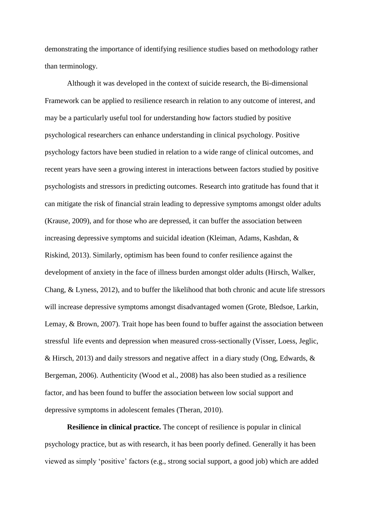demonstrating the importance of identifying resilience studies based on methodology rather than terminology.

Although it was developed in the context of suicide research, the Bi-dimensional Framework can be applied to resilience research in relation to any outcome of interest, and may be a particularly useful tool for understanding how factors studied by positive psychological researchers can enhance understanding in clinical psychology. Positive psychology factors have been studied in relation to a wide range of clinical outcomes, and recent years have seen a growing interest in interactions between factors studied by positive psychologists and stressors in predicting outcomes. Research into gratitude has found that it can mitigate the risk of financial strain leading to depressive symptoms amongst older adults (Krause, 2009), and for those who are depressed, it can buffer the association between increasing depressive symptoms and suicidal ideation (Kleiman, Adams, Kashdan, & Riskind, 2013). Similarly, optimism has been found to confer resilience against the development of anxiety in the face of illness burden amongst older adults (Hirsch, Walker, Chang, & Lyness, 2012), and to buffer the likelihood that both chronic and acute life stressors will increase depressive symptoms amongst disadvantaged women (Grote, Bledsoe, Larkin, Lemay, & Brown, 2007). Trait hope has been found to buffer against the association between stressful life events and depression when measured cross-sectionally (Visser, Loess, Jeglic, & Hirsch, 2013) and daily stressors and negative affect in a diary study (Ong, Edwards, & Bergeman, 2006). Authenticity (Wood et al., 2008) has also been studied as a resilience factor, and has been found to buffer the association between low social support and depressive symptoms in adolescent females (Theran, 2010).

**Resilience in clinical practice.** The concept of resilience is popular in clinical psychology practice, but as with research, it has been poorly defined. Generally it has been viewed as simply 'positive' factors (e.g., strong social support, a good job) which are added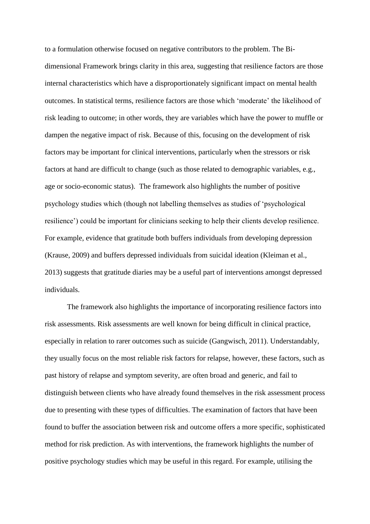to a formulation otherwise focused on negative contributors to the problem. The Bidimensional Framework brings clarity in this area, suggesting that resilience factors are those internal characteristics which have a disproportionately significant impact on mental health outcomes. In statistical terms, resilience factors are those which 'moderate' the likelihood of risk leading to outcome; in other words, they are variables which have the power to muffle or dampen the negative impact of risk. Because of this, focusing on the development of risk factors may be important for clinical interventions, particularly when the stressors or risk factors at hand are difficult to change (such as those related to demographic variables, e.g., age or socio-economic status). The framework also highlights the number of positive psychology studies which (though not labelling themselves as studies of 'psychological resilience') could be important for clinicians seeking to help their clients develop resilience. For example, evidence that gratitude both buffers individuals from developing depression (Krause, 2009) and buffers depressed individuals from suicidal ideation (Kleiman et al., 2013) suggests that gratitude diaries may be a useful part of interventions amongst depressed individuals.

The framework also highlights the importance of incorporating resilience factors into risk assessments. Risk assessments are well known for being difficult in clinical practice, especially in relation to rarer outcomes such as suicide (Gangwisch, 2011). Understandably, they usually focus on the most reliable risk factors for relapse, however, these factors, such as past history of relapse and symptom severity, are often broad and generic, and fail to distinguish between clients who have already found themselves in the risk assessment process due to presenting with these types of difficulties. The examination of factors that have been found to buffer the association between risk and outcome offers a more specific, sophisticated method for risk prediction. As with interventions, the framework highlights the number of positive psychology studies which may be useful in this regard. For example, utilising the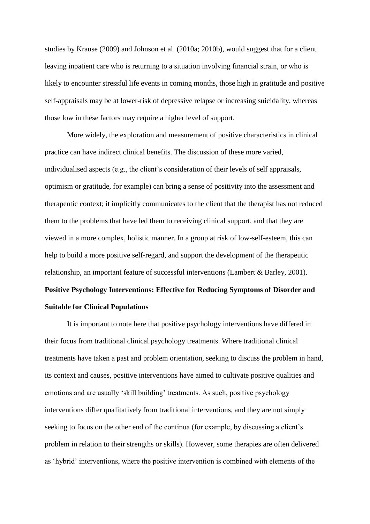studies by Krause (2009) and Johnson et al. (2010a; 2010b), would suggest that for a client leaving inpatient care who is returning to a situation involving financial strain, or who is likely to encounter stressful life events in coming months, those high in gratitude and positive self-appraisals may be at lower-risk of depressive relapse or increasing suicidality, whereas those low in these factors may require a higher level of support.

More widely, the exploration and measurement of positive characteristics in clinical practice can have indirect clinical benefits. The discussion of these more varied, individualised aspects (e.g., the client's consideration of their levels of self appraisals, optimism or gratitude, for example) can bring a sense of positivity into the assessment and therapeutic context; it implicitly communicates to the client that the therapist has not reduced them to the problems that have led them to receiving clinical support, and that they are viewed in a more complex, holistic manner. In a group at risk of low-self-esteem, this can help to build a more positive self-regard, and support the development of the therapeutic relationship, an important feature of successful interventions (Lambert & Barley, 2001).

# **Positive Psychology Interventions: Effective for Reducing Symptoms of Disorder and Suitable for Clinical Populations**

 It is important to note here that positive psychology interventions have differed in their focus from traditional clinical psychology treatments. Where traditional clinical treatments have taken a past and problem orientation, seeking to discuss the problem in hand, its context and causes, positive interventions have aimed to cultivate positive qualities and emotions and are usually 'skill building' treatments. As such, positive psychology interventions differ qualitatively from traditional interventions, and they are not simply seeking to focus on the other end of the continua (for example, by discussing a client's problem in relation to their strengths or skills). However, some therapies are often delivered as 'hybrid' interventions, where the positive intervention is combined with elements of the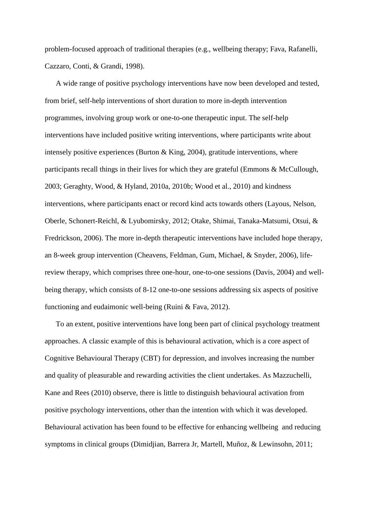problem-focused approach of traditional therapies (e.g., wellbeing therapy; Fava, Rafanelli, Cazzaro, Conti, & Grandi, 1998).

A wide range of positive psychology interventions have now been developed and tested, from brief, self-help interventions of short duration to more in-depth intervention programmes, involving group work or one-to-one therapeutic input. The self-help interventions have included positive writing interventions, where participants write about intensely positive experiences (Burton & King, 2004), gratitude interventions, where participants recall things in their lives for which they are grateful (Emmons & McCullough, 2003; Geraghty, Wood, & Hyland, 2010a, 2010b; Wood et al., 2010) and kindness interventions, where participants enact or record kind acts towards others (Layous, Nelson, Oberle, Schonert-Reichl, & Lyubomirsky, 2012; Otake, Shimai, Tanaka-Matsumi, Otsui, & Fredrickson, 2006). The more in-depth therapeutic interventions have included hope therapy, an 8-week group intervention (Cheavens, Feldman, Gum, Michael, & Snyder, 2006), lifereview therapy, which comprises three one-hour, one-to-one sessions (Davis, 2004) and wellbeing therapy, which consists of 8-12 one-to-one sessions addressing six aspects of positive functioning and eudaimonic well-being (Ruini & Fava, 2012).

To an extent, positive interventions have long been part of clinical psychology treatment approaches. A classic example of this is behavioural activation, which is a core aspect of Cognitive Behavioural Therapy (CBT) for depression, and involves increasing the number and quality of pleasurable and rewarding activities the client undertakes. As Mazzuchelli, Kane and Rees (2010) observe, there is little to distinguish behavioural activation from positive psychology interventions, other than the intention with which it was developed. Behavioural activation has been found to be effective for enhancing wellbeing and reducing symptoms in clinical groups (Dimidjian, Barrera Jr, Martell, Muñoz, & Lewinsohn, 2011;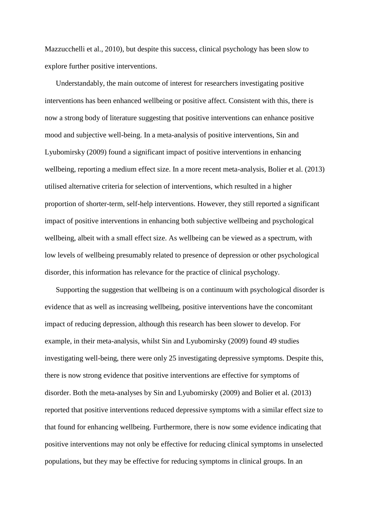Mazzucchelli et al., 2010), but despite this success, clinical psychology has been slow to explore further positive interventions.

Understandably, the main outcome of interest for researchers investigating positive interventions has been enhanced wellbeing or positive affect. Consistent with this, there is now a strong body of literature suggesting that positive interventions can enhance positive mood and subjective well-being. In a meta-analysis of positive interventions, Sin and Lyubomirsky (2009) found a significant impact of positive interventions in enhancing wellbeing, reporting a medium effect size. In a more recent meta-analysis, Bolier et al. (2013) utilised alternative criteria for selection of interventions, which resulted in a higher proportion of shorter-term, self-help interventions. However, they still reported a significant impact of positive interventions in enhancing both subjective wellbeing and psychological wellbeing, albeit with a small effect size. As wellbeing can be viewed as a spectrum, with low levels of wellbeing presumably related to presence of depression or other psychological disorder, this information has relevance for the practice of clinical psychology.

Supporting the suggestion that wellbeing is on a continuum with psychological disorder is evidence that as well as increasing wellbeing, positive interventions have the concomitant impact of reducing depression, although this research has been slower to develop. For example, in their meta-analysis, whilst Sin and Lyubomirsky (2009) found 49 studies investigating well-being, there were only 25 investigating depressive symptoms. Despite this, there is now strong evidence that positive interventions are effective for symptoms of disorder. Both the meta-analyses by Sin and Lyubomirsky (2009) and Bolier et al. (2013) reported that positive interventions reduced depressive symptoms with a similar effect size to that found for enhancing wellbeing. Furthermore, there is now some evidence indicating that positive interventions may not only be effective for reducing clinical symptoms in unselected populations, but they may be effective for reducing symptoms in clinical groups. In an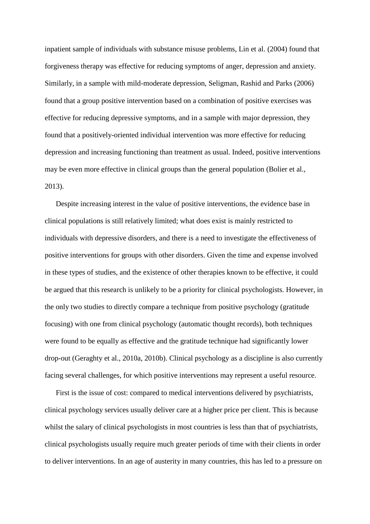inpatient sample of individuals with substance misuse problems, Lin et al. (2004) found that forgiveness therapy was effective for reducing symptoms of anger, depression and anxiety. Similarly, in a sample with mild-moderate depression, Seligman, Rashid and Parks (2006) found that a group positive intervention based on a combination of positive exercises was effective for reducing depressive symptoms, and in a sample with major depression, they found that a positively-oriented individual intervention was more effective for reducing depression and increasing functioning than treatment as usual. Indeed, positive interventions may be even more effective in clinical groups than the general population (Bolier et al., 2013).

Despite increasing interest in the value of positive interventions, the evidence base in clinical populations is still relatively limited; what does exist is mainly restricted to individuals with depressive disorders, and there is a need to investigate the effectiveness of positive interventions for groups with other disorders. Given the time and expense involved in these types of studies, and the existence of other therapies known to be effective, it could be argued that this research is unlikely to be a priority for clinical psychologists. However, in the only two studies to directly compare a technique from positive psychology (gratitude focusing) with one from clinical psychology (automatic thought records), both techniques were found to be equally as effective and the gratitude technique had significantly lower drop-out (Geraghty et al., 2010a, 2010b). Clinical psychology as a discipline is also currently facing several challenges, for which positive interventions may represent a useful resource.

First is the issue of cost: compared to medical interventions delivered by psychiatrists, clinical psychology services usually deliver care at a higher price per client. This is because whilst the salary of clinical psychologists in most countries is less than that of psychiatrists, clinical psychologists usually require much greater periods of time with their clients in order to deliver interventions. In an age of austerity in many countries, this has led to a pressure on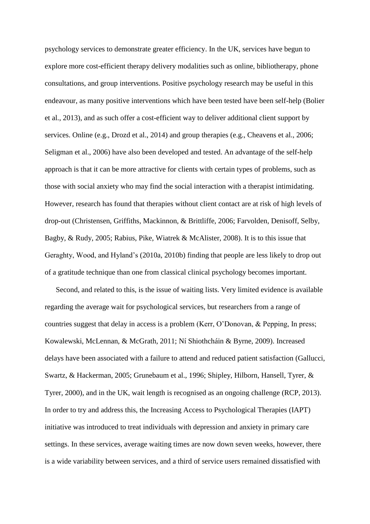psychology services to demonstrate greater efficiency. In the UK, services have begun to explore more cost-efficient therapy delivery modalities such as online, bibliotherapy, phone consultations, and group interventions. Positive psychology research may be useful in this endeavour, as many positive interventions which have been tested have been self-help (Bolier et al., 2013), and as such offer a cost-efficient way to deliver additional client support by services. Online (e.g., Drozd et al., 2014) and group therapies (e.g., Cheavens et al., 2006; Seligman et al., 2006) have also been developed and tested. An advantage of the self-help approach is that it can be more attractive for clients with certain types of problems, such as those with social anxiety who may find the social interaction with a therapist intimidating. However, research has found that therapies without client contact are at risk of high levels of drop-out (Christensen, Griffiths, Mackinnon, & Brittliffe, 2006; Farvolden, Denisoff, Selby, Bagby, & Rudy, 2005; Rabius, Pike, Wiatrek & McAlister, 2008). It is to this issue that Geraghty, Wood, and Hyland's (2010a, 2010b) finding that people are less likely to drop out of a gratitude technique than one from classical clinical psychology becomes important.

Second, and related to this, is the issue of waiting lists. Very limited evidence is available regarding the average wait for psychological services, but researchers from a range of countries suggest that delay in access is a problem (Kerr, O'Donovan, & Pepping, In press; Kowalewski, McLennan, & McGrath, 2011; Ní Shiothcháin & Byrne, 2009). Increased delays have been associated with a failure to attend and reduced patient satisfaction (Gallucci, Swartz, & Hackerman, 2005; Grunebaum et al., 1996; Shipley, Hilborn, Hansell, Tyrer, & Tyrer, 2000), and in the UK, wait length is recognised as an ongoing challenge (RCP, 2013). In order to try and address this, the Increasing Access to Psychological Therapies (IAPT) initiative was introduced to treat individuals with depression and anxiety in primary care settings. In these services, average waiting times are now down seven weeks, however, there is a wide variability between services, and a third of service users remained dissatisfied with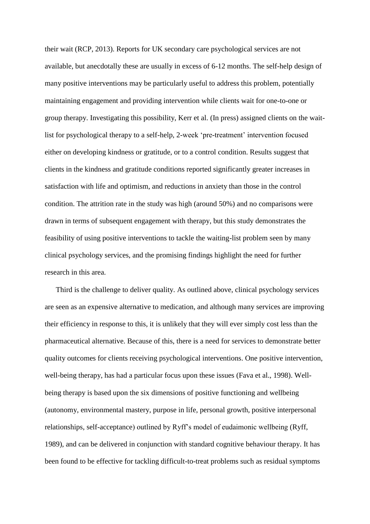their wait (RCP, 2013). Reports for UK secondary care psychological services are not available, but anecdotally these are usually in excess of 6-12 months. The self-help design of many positive interventions may be particularly useful to address this problem, potentially maintaining engagement and providing intervention while clients wait for one-to-one or group therapy. Investigating this possibility, Kerr et al. (In press) assigned clients on the waitlist for psychological therapy to a self-help, 2-week 'pre-treatment' intervention focused either on developing kindness or gratitude, or to a control condition. Results suggest that clients in the kindness and gratitude conditions reported significantly greater increases in satisfaction with life and optimism, and reductions in anxiety than those in the control condition. The attrition rate in the study was high (around 50%) and no comparisons were drawn in terms of subsequent engagement with therapy, but this study demonstrates the feasibility of using positive interventions to tackle the waiting-list problem seen by many clinical psychology services, and the promising findings highlight the need for further research in this area.

Third is the challenge to deliver quality. As outlined above, clinical psychology services are seen as an expensive alternative to medication, and although many services are improving their efficiency in response to this, it is unlikely that they will ever simply cost less than the pharmaceutical alternative. Because of this, there is a need for services to demonstrate better quality outcomes for clients receiving psychological interventions. One positive intervention, well-being therapy, has had a particular focus upon these issues (Fava et al., 1998). Wellbeing therapy is based upon the six dimensions of positive functioning and wellbeing (autonomy, environmental mastery, purpose in life, personal growth, positive interpersonal relationships, self-acceptance) outlined by Ryff's model of eudaimonic wellbeing (Ryff, 1989), and can be delivered in conjunction with standard cognitive behaviour therapy. It has been found to be effective for tackling difficult-to-treat problems such as residual symptoms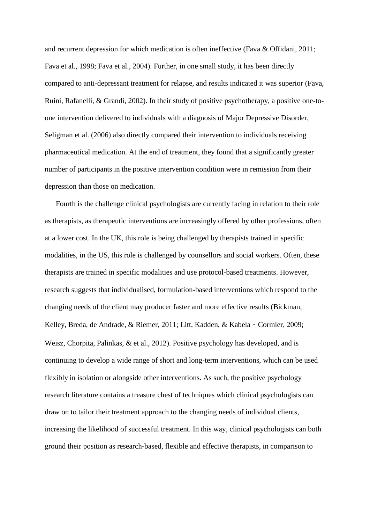and recurrent depression for which medication is often ineffective (Fava & Offidani, 2011; Fava et al., 1998; Fava et al., 2004). Further, in one small study, it has been directly compared to anti-depressant treatment for relapse, and results indicated it was superior (Fava, Ruini, Rafanelli, & Grandi, 2002). In their study of positive psychotherapy, a positive one-toone intervention delivered to individuals with a diagnosis of Major Depressive Disorder, Seligman et al. (2006) also directly compared their intervention to individuals receiving pharmaceutical medication. At the end of treatment, they found that a significantly greater number of participants in the positive intervention condition were in remission from their depression than those on medication.

Fourth is the challenge clinical psychologists are currently facing in relation to their role as therapists, as therapeutic interventions are increasingly offered by other professions, often at a lower cost. In the UK, this role is being challenged by therapists trained in specific modalities, in the US, this role is challenged by counsellors and social workers. Often, these therapists are trained in specific modalities and use protocol-based treatments. However, research suggests that individualised, formulation-based interventions which respond to the changing needs of the client may producer faster and more effective results (Bickman, Kelley, Breda, de Andrade, & Riemer, 2011; Litt, Kadden, & Kabela - Cormier, 2009; Weisz, Chorpita, Palinkas, & et al., 2012). Positive psychology has developed, and is continuing to develop a wide range of short and long-term interventions, which can be used flexibly in isolation or alongside other interventions. As such, the positive psychology research literature contains a treasure chest of techniques which clinical psychologists can draw on to tailor their treatment approach to the changing needs of individual clients, increasing the likelihood of successful treatment. In this way, clinical psychologists can both ground their position as research-based, flexible and effective therapists, in comparison to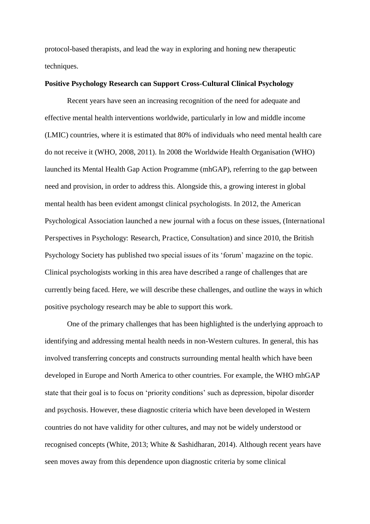protocol-based therapists, and lead the way in exploring and honing new therapeutic techniques.

#### **Positive Psychology Research can Support Cross-Cultural Clinical Psychology**

 Recent years have seen an increasing recognition of the need for adequate and effective mental health interventions worldwide, particularly in low and middle income (LMIC) countries, where it is estimated that 80% of individuals who need mental health care do not receive it (WHO, 2008, 2011). In 2008 the Worldwide Health Organisation (WHO) launched its Mental Health Gap Action Programme (mhGAP), referring to the gap between need and provision, in order to address this. Alongside this, a growing interest in global mental health has been evident amongst clinical psychologists. In 2012, the American Psychological Association launched a new journal with a focus on these issues, (International Perspectives in Psychology: Research, Practice, Consultation) and since 2010, the British Psychology Society has published two special issues of its 'forum' magazine on the topic. Clinical psychologists working in this area have described a range of challenges that are currently being faced. Here, we will describe these challenges, and outline the ways in which positive psychology research may be able to support this work.

 One of the primary challenges that has been highlighted is the underlying approach to identifying and addressing mental health needs in non-Western cultures. In general, this has involved transferring concepts and constructs surrounding mental health which have been developed in Europe and North America to other countries. For example, the WHO mhGAP state that their goal is to focus on 'priority conditions' such as depression, bipolar disorder and psychosis. However, these diagnostic criteria which have been developed in Western countries do not have validity for other cultures, and may not be widely understood or recognised concepts (White, 2013; White & Sashidharan, 2014). Although recent years have seen moves away from this dependence upon diagnostic criteria by some clinical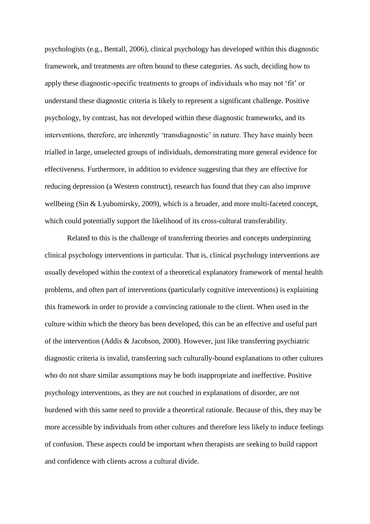psychologists (e.g., Bentall, 2006), clinical psychology has developed within this diagnostic framework, and treatments are often bound to these categories. As such, deciding how to apply these diagnostic-specific treatments to groups of individuals who may not 'fit' or understand these diagnostic criteria is likely to represent a significant challenge. Positive psychology, by contrast, has not developed within these diagnostic frameworks, and its interventions, therefore, are inherently 'transdiagnostic' in nature. They have mainly been trialled in large, unselected groups of individuals, demonstrating more general evidence for effectiveness. Furthermore, in addition to evidence suggesting that they are effective for reducing depression (a Western construct), research has found that they can also improve wellbeing (Sin & Lyubomirsky, 2009), which is a broader, and more multi-faceted concept, which could potentially support the likelihood of its cross-cultural transferability.

 Related to this is the challenge of transferring theories and concepts underpinning clinical psychology interventions in particular. That is, clinical psychology interventions are usually developed within the context of a theoretical explanatory framework of mental health problems, and often part of interventions (particularly cognitive interventions) is explaining this framework in order to provide a convincing rationale to the client. When used in the culture within which the theory has been developed, this can be an effective and useful part of the intervention (Addis & Jacobson, 2000). However, just like transferring psychiatric diagnostic criteria is invalid, transferring such culturally-bound explanations to other cultures who do not share similar assumptions may be both inappropriate and ineffective. Positive psychology interventions, as they are not couched in explanations of disorder, are not burdened with this same need to provide a theoretical rationale. Because of this, they may be more accessible by individuals from other cultures and therefore less likely to induce feelings of confusion. These aspects could be important when therapists are seeking to build rapport and confidence with clients across a cultural divide.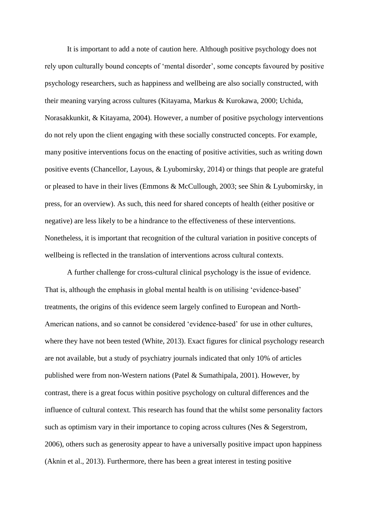It is important to add a note of caution here. Although positive psychology does not rely upon culturally bound concepts of 'mental disorder', some concepts favoured by positive psychology researchers, such as happiness and wellbeing are also socially constructed, with their meaning varying across cultures (Kitayama, Markus & Kurokawa, 2000; Uchida, Norasakkunkit, & Kitayama, 2004). However, a number of positive psychology interventions do not rely upon the client engaging with these socially constructed concepts. For example, many positive interventions focus on the enacting of positive activities, such as writing down positive events (Chancellor, Layous, & Lyubomirsky, 2014) or things that people are grateful or pleased to have in their lives (Emmons & McCullough, 2003; see Shin & Lyubomirsky, in press, for an overview). As such, this need for shared concepts of health (either positive or negative) are less likely to be a hindrance to the effectiveness of these interventions. Nonetheless, it is important that recognition of the cultural variation in positive concepts of wellbeing is reflected in the translation of interventions across cultural contexts.

 A further challenge for cross-cultural clinical psychology is the issue of evidence. That is, although the emphasis in global mental health is on utilising 'evidence-based' treatments, the origins of this evidence seem largely confined to European and North-American nations, and so cannot be considered 'evidence-based' for use in other cultures, where they have not been tested (White, 2013). Exact figures for clinical psychology research are not available, but a study of psychiatry journals indicated that only 10% of articles published were from non-Western nations (Patel & Sumathipala, 2001). However, by contrast, there is a great focus within positive psychology on cultural differences and the influence of cultural context. This research has found that the whilst some personality factors such as optimism vary in their importance to coping across cultures (Nes & Segerstrom, 2006), others such as generosity appear to have a universally positive impact upon happiness (Aknin et al., 2013). Furthermore, there has been a great interest in testing positive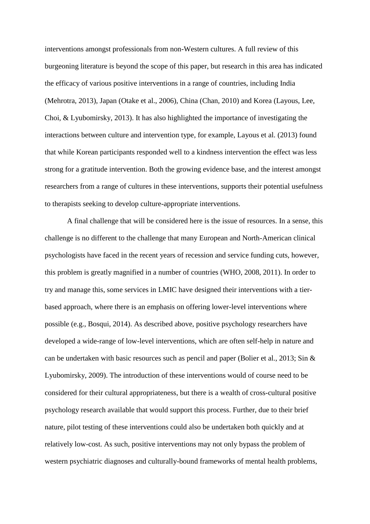interventions amongst professionals from non-Western cultures. A full review of this burgeoning literature is beyond the scope of this paper, but research in this area has indicated the efficacy of various positive interventions in a range of countries, including India (Mehrotra, 2013), Japan (Otake et al., 2006), China (Chan, 2010) and Korea (Layous, Lee, Choi, & Lyubomirsky, 2013). It has also highlighted the importance of investigating the interactions between culture and intervention type, for example, Layous et al. (2013) found that while Korean participants responded well to a kindness intervention the effect was less strong for a gratitude intervention. Both the growing evidence base, and the interest amongst researchers from a range of cultures in these interventions, supports their potential usefulness to therapists seeking to develop culture-appropriate interventions.

 A final challenge that will be considered here is the issue of resources. In a sense, this challenge is no different to the challenge that many European and North-American clinical psychologists have faced in the recent years of recession and service funding cuts, however, this problem is greatly magnified in a number of countries (WHO, 2008, 2011). In order to try and manage this, some services in LMIC have designed their interventions with a tierbased approach, where there is an emphasis on offering lower-level interventions where possible (e.g., Bosqui, 2014). As described above, positive psychology researchers have developed a wide-range of low-level interventions, which are often self-help in nature and can be undertaken with basic resources such as pencil and paper (Bolier et al., 2013; Sin & Lyubomirsky, 2009). The introduction of these interventions would of course need to be considered for their cultural appropriateness, but there is a wealth of cross-cultural positive psychology research available that would support this process. Further, due to their brief nature, pilot testing of these interventions could also be undertaken both quickly and at relatively low-cost. As such, positive interventions may not only bypass the problem of western psychiatric diagnoses and culturally-bound frameworks of mental health problems,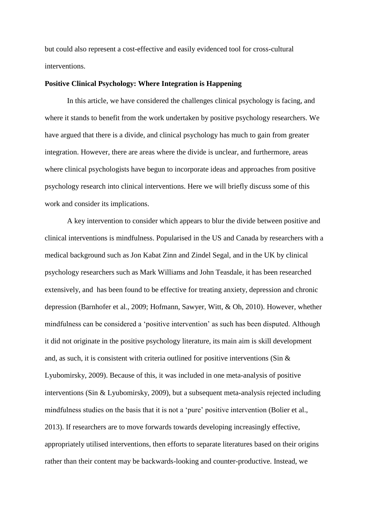but could also represent a cost-effective and easily evidenced tool for cross-cultural interventions.

### **Positive Clinical Psychology: Where Integration is Happening**

In this article, we have considered the challenges clinical psychology is facing, and where it stands to benefit from the work undertaken by positive psychology researchers. We have argued that there is a divide, and clinical psychology has much to gain from greater integration. However, there are areas where the divide is unclear, and furthermore, areas where clinical psychologists have begun to incorporate ideas and approaches from positive psychology research into clinical interventions. Here we will briefly discuss some of this work and consider its implications.

 A key intervention to consider which appears to blur the divide between positive and clinical interventions is mindfulness. Popularised in the US and Canada by researchers with a medical background such as Jon Kabat Zinn and Zindel Segal, and in the UK by clinical psychology researchers such as Mark Williams and John Teasdale, it has been researched extensively, and has been found to be effective for treating anxiety, depression and chronic depression (Barnhofer et al., 2009; Hofmann, Sawyer, Witt, & Oh, 2010). However, whether mindfulness can be considered a 'positive intervention' as such has been disputed. Although it did not originate in the positive psychology literature, its main aim is skill development and, as such, it is consistent with criteria outlined for positive interventions (Sin & Lyubomirsky, 2009). Because of this, it was included in one meta-analysis of positive interventions (Sin & Lyubomirsky, 2009), but a subsequent meta-analysis rejected including mindfulness studies on the basis that it is not a 'pure' positive intervention (Bolier et al., 2013). If researchers are to move forwards towards developing increasingly effective, appropriately utilised interventions, then efforts to separate literatures based on their origins rather than their content may be backwards-looking and counter-productive. Instead, we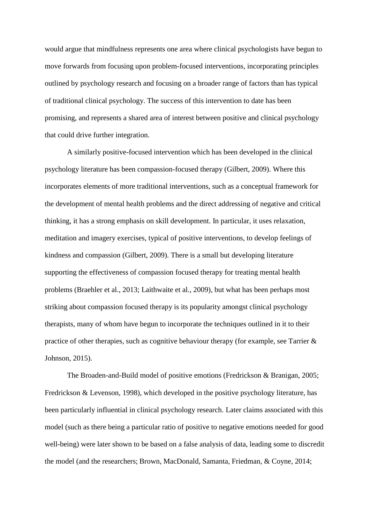would argue that mindfulness represents one area where clinical psychologists have begun to move forwards from focusing upon problem-focused interventions, incorporating principles outlined by psychology research and focusing on a broader range of factors than has typical of traditional clinical psychology. The success of this intervention to date has been promising, and represents a shared area of interest between positive and clinical psychology that could drive further integration.

 A similarly positive-focused intervention which has been developed in the clinical psychology literature has been compassion-focused therapy (Gilbert, 2009). Where this incorporates elements of more traditional interventions, such as a conceptual framework for the development of mental health problems and the direct addressing of negative and critical thinking, it has a strong emphasis on skill development. In particular, it uses relaxation, meditation and imagery exercises, typical of positive interventions, to develop feelings of kindness and compassion (Gilbert, 2009). There is a small but developing literature supporting the effectiveness of compassion focused therapy for treating mental health problems (Braehler et al., 2013; Laithwaite et al., 2009), but what has been perhaps most striking about compassion focused therapy is its popularity amongst clinical psychology therapists, many of whom have begun to incorporate the techniques outlined in it to their practice of other therapies, such as cognitive behaviour therapy (for example, see Tarrier & Johnson, 2015).

 The Broaden-and-Build model of positive emotions (Fredrickson & Branigan, 2005; Fredrickson & Levenson, 1998), which developed in the positive psychology literature, has been particularly influential in clinical psychology research. Later claims associated with this model (such as there being a particular ratio of positive to negative emotions needed for good well-being) were later shown to be based on a false analysis of data, leading some to discredit the model (and the researchers; Brown, MacDonald, Samanta, Friedman, & Coyne, 2014;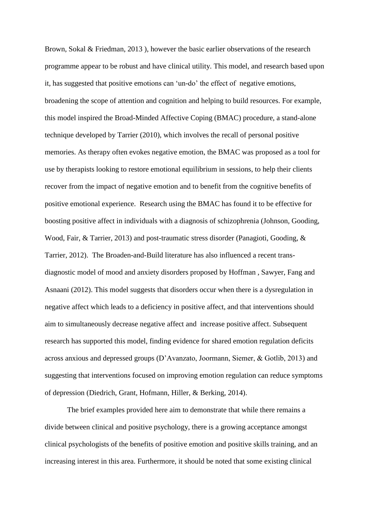Brown, Sokal & Friedman, 2013 ), however the basic earlier observations of the research programme appear to be robust and have clinical utility. This model, and research based upon it, has suggested that positive emotions can 'un-do' the effect of negative emotions, broadening the scope of attention and cognition and helping to build resources. For example, this model inspired the Broad-Minded Affective Coping (BMAC) procedure, a stand-alone technique developed by Tarrier (2010), which involves the recall of personal positive memories. As therapy often evokes negative emotion, the BMAC was proposed as a tool for use by therapists looking to restore emotional equilibrium in sessions, to help their clients recover from the impact of negative emotion and to benefit from the cognitive benefits of positive emotional experience. Research using the BMAC has found it to be effective for boosting positive affect in individuals with a diagnosis of schizophrenia (Johnson, Gooding, Wood, Fair, & Tarrier, 2013) and post-traumatic stress disorder (Panagioti, Gooding, & Tarrier, 2012). The Broaden-and-Build literature has also influenced a recent transdiagnostic model of mood and anxiety disorders proposed by Hoffman , Sawyer, Fang and Asnaani (2012). This model suggests that disorders occur when there is a dysregulation in negative affect which leads to a deficiency in positive affect, and that interventions should aim to simultaneously decrease negative affect and increase positive affect. Subsequent research has supported this model, finding evidence for shared emotion regulation deficits across anxious and depressed groups (D'Avanzato, Joormann, Siemer, & Gotlib, 2013) and suggesting that interventions focused on improving emotion regulation can reduce symptoms of depression (Diedrich, Grant, Hofmann, Hiller, & Berking, 2014).

 The brief examples provided here aim to demonstrate that while there remains a divide between clinical and positive psychology, there is a growing acceptance amongst clinical psychologists of the benefits of positive emotion and positive skills training, and an increasing interest in this area. Furthermore, it should be noted that some existing clinical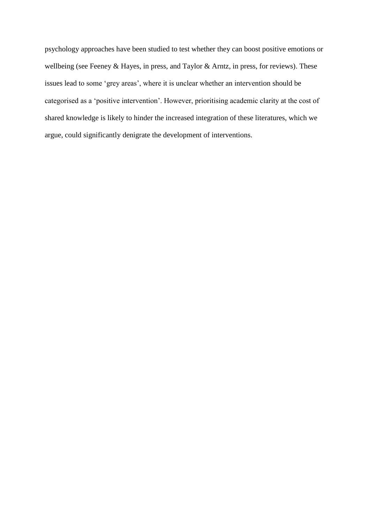psychology approaches have been studied to test whether they can boost positive emotions or wellbeing (see Feeney & Hayes, in press, and Taylor & Arntz, in press, for reviews). These issues lead to some 'grey areas', where it is unclear whether an intervention should be categorised as a 'positive intervention'. However, prioritising academic clarity at the cost of shared knowledge is likely to hinder the increased integration of these literatures, which we argue, could significantly denigrate the development of interventions.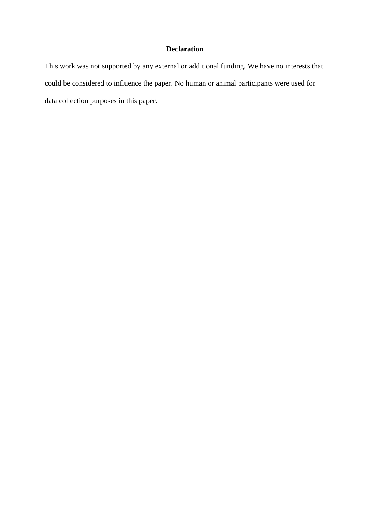# **Declaration**

This work was not supported by any external or additional funding. We have no interests that could be considered to influence the paper. No human or animal participants were used for data collection purposes in this paper.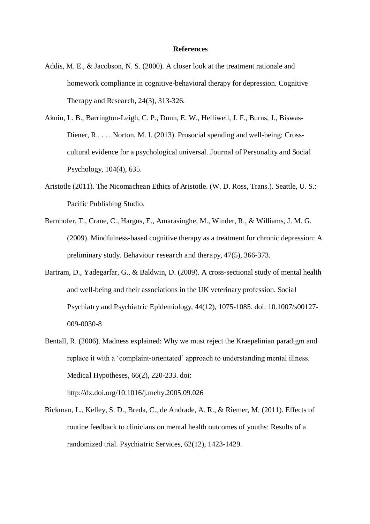#### **References**

- Addis, M. E., & Jacobson, N. S. (2000). A closer look at the treatment rationale and homework compliance in cognitive-behavioral therapy for depression. Cognitive Therapy and Research, 24(3), 313-326.
- Aknin, L. B., Barrington-Leigh, C. P., Dunn, E. W., Helliwell, J. F., Burns, J., Biswas-Diener, R., . . . Norton, M. I. (2013). Prosocial spending and well-being: Crosscultural evidence for a psychological universal. Journal of Personality and Social Psychology, 104(4), 635.
- Aristotle (2011). The Nicomachean Ethics of Aristotle. (W. D. Ross, Trans.). Seattle, U. S.: Pacific Publishing Studio.
- Barnhofer, T., Crane, C., Hargus, E., Amarasinghe, M., Winder, R., & Williams, J. M. G. (2009). Mindfulness-based cognitive therapy as a treatment for chronic depression: A preliminary study. Behaviour research and therapy, 47(5), 366-373.
- Bartram, D., Yadegarfar, G., & Baldwin, D. (2009). A cross-sectional study of mental health and well-being and their associations in the UK veterinary profession. Social Psychiatry and Psychiatric Epidemiology, 44(12), 1075-1085. doi: 10.1007/s00127- 009-0030-8
- Bentall, R. (2006). Madness explained: Why we must reject the Kraepelinian paradigm and replace it with a 'complaint-orientated' approach to understanding mental illness. Medical Hypotheses, 66(2), 220-233. doi:

http://dx.doi.org/10.1016/j.mehy.2005.09.026

Bickman, L., Kelley, S. D., Breda, C., de Andrade, A. R., & Riemer, M. (2011). Effects of routine feedback to clinicians on mental health outcomes of youths: Results of a randomized trial. Psychiatric Services, 62(12), 1423-1429.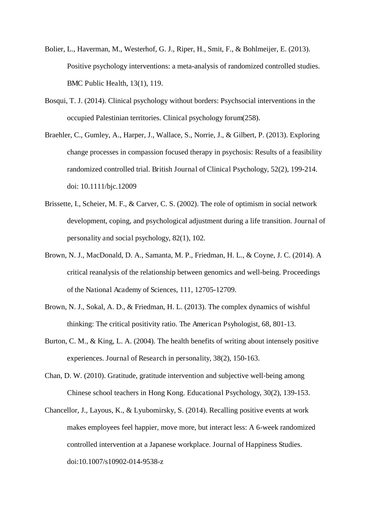- Bolier, L., Haverman, M., Westerhof, G. J., Riper, H., Smit, F., & Bohlmeijer, E. (2013). Positive psychology interventions: a meta-analysis of randomized controlled studies. BMC Public Health, 13(1), 119.
- Bosqui, T. J. (2014). Clinical psychology without borders: Psychsocial interventions in the occupied Palestinian territories. Clinical psychology forum(258).
- Braehler, C., Gumley, A., Harper, J., Wallace, S., Norrie, J., & Gilbert, P. (2013). Exploring change processes in compassion focused therapy in psychosis: Results of a feasibility randomized controlled trial. British Journal of Clinical Psychology, 52(2), 199-214. doi: 10.1111/bjc.12009
- Brissette, I., Scheier, M. F., & Carver, C. S. (2002). The role of optimism in social network development, coping, and psychological adjustment during a life transition. Journal of personality and social psychology, 82(1), 102.
- Brown, N. J., MacDonald, D. A., Samanta, M. P., Friedman, H. L., & Coyne, J. C. (2014). A critical reanalysis of the relationship between genomics and well-being. Proceedings of the National Academy of Sciences, 111, 12705-12709.
- Brown, N. J., Sokal, A. D., & Friedman, H. L. (2013). The complex dynamics of wishful thinking: The critical positivity ratio. The American Psyhologist, 68, 801-13.
- Burton, C. M., & King, L. A. (2004). The health benefits of writing about intensely positive experiences. Journal of Research in personality, 38(2), 150-163.
- Chan, D. W. (2010). Gratitude, gratitude intervention and subjective well-being among Chinese school teachers in Hong Kong. Educational Psychology, 30(2), 139-153.
- Chancellor, J., Layous, K., & Lyubomirsky, S. (2014). Recalling positive events at work makes employees feel happier, move more, but interact less: A 6-week randomized controlled intervention at a Japanese workplace. Journal of Happiness Studies. doi:10.1007/s10902-014-9538-z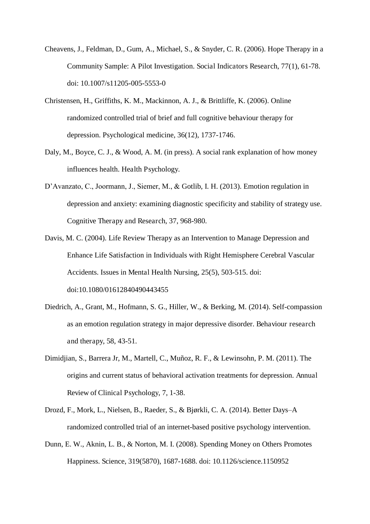- Cheavens, J., Feldman, D., Gum, A., Michael, S., & Snyder, C. R. (2006). Hope Therapy in a Community Sample: A Pilot Investigation. Social Indicators Research, 77(1), 61-78. doi: 10.1007/s11205-005-5553-0
- Christensen, H., Griffiths, K. M., Mackinnon, A. J., & Brittliffe, K. (2006). Online randomized controlled trial of brief and full cognitive behaviour therapy for depression. Psychological medicine, 36(12), 1737-1746.
- Daly, M., Boyce, C. J., & Wood, A. M. (in press). A social rank explanation of how money influences health. Health Psychology.
- D'Avanzato, C., Joormann, J., Siemer, M., & Gotlib, I. H. (2013). Emotion regulation in depression and anxiety: examining diagnostic specificity and stability of strategy use. Cognitive Therapy and Research, 37, 968-980.
- Davis, M. C. (2004). Life Review Therapy as an Intervention to Manage Depression and Enhance Life Satisfaction in Individuals with Right Hemisphere Cerebral Vascular Accidents. Issues in Mental Health Nursing, 25(5), 503-515. doi: doi:10.1080/01612840490443455
- Diedrich, A., Grant, M., Hofmann, S. G., Hiller, W., & Berking, M. (2014). Self-compassion as an emotion regulation strategy in major depressive disorder. Behaviour research and therapy, 58, 43-51.
- Dimidjian, S., Barrera Jr, M., Martell, C., Muñoz, R. F., & Lewinsohn, P. M. (2011). The origins and current status of behavioral activation treatments for depression. Annual Review of Clinical Psychology, 7, 1-38.
- Drozd, F., Mork, L., Nielsen, B., Raeder, S., & Bjørkli, C. A. (2014). Better Days–A randomized controlled trial of an internet-based positive psychology intervention.
- Dunn, E. W., Aknin, L. B., & Norton, M. I. (2008). Spending Money on Others Promotes Happiness. Science, 319(5870), 1687-1688. doi: 10.1126/science.1150952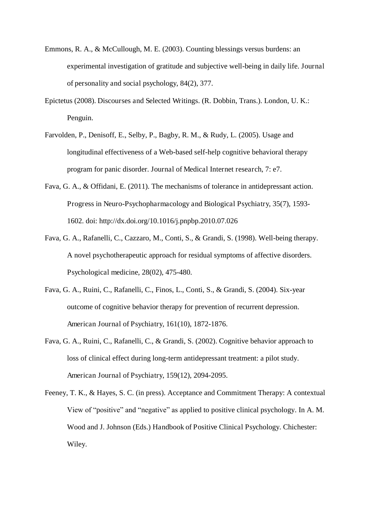- Emmons, R. A., & McCullough, M. E. (2003). Counting blessings versus burdens: an experimental investigation of gratitude and subjective well-being in daily life. Journal of personality and social psychology, 84(2), 377.
- Epictetus (2008). Discourses and Selected Writings. (R. Dobbin, Trans.). London, U. K.: Penguin.
- Farvolden, P., Denisoff, E., Selby, P., Bagby, R. M., & Rudy, L. (2005). Usage and longitudinal effectiveness of a Web-based self-help cognitive behavioral therapy program for panic disorder. Journal of Medical Internet research, 7: e7.
- Fava, G. A., & Offidani, E. (2011). The mechanisms of tolerance in antidepressant action. Progress in Neuro-Psychopharmacology and Biological Psychiatry, 35(7), 1593- 1602. doi: http://dx.doi.org/10.1016/j.pnpbp.2010.07.026
- Fava, G. A., Rafanelli, C., Cazzaro, M., Conti, S., & Grandi, S. (1998). Well-being therapy. A novel psychotherapeutic approach for residual symptoms of affective disorders. Psychological medicine, 28(02), 475-480.
- Fava, G. A., Ruini, C., Rafanelli, C., Finos, L., Conti, S., & Grandi, S. (2004). Six-year outcome of cognitive behavior therapy for prevention of recurrent depression. American Journal of Psychiatry, 161(10), 1872-1876.
- Fava, G. A., Ruini, C., Rafanelli, C., & Grandi, S. (2002). Cognitive behavior approach to loss of clinical effect during long-term antidepressant treatment: a pilot study. American Journal of Psychiatry, 159(12), 2094-2095.
- Feeney, T. K., & Hayes, S. C. (in press). Acceptance and Commitment Therapy: A contextual View of "positive" and "negative" as applied to positive clinical psychology. In A. M. Wood and J. Johnson (Eds.) Handbook of Positive Clinical Psychology. Chichester: Wiley.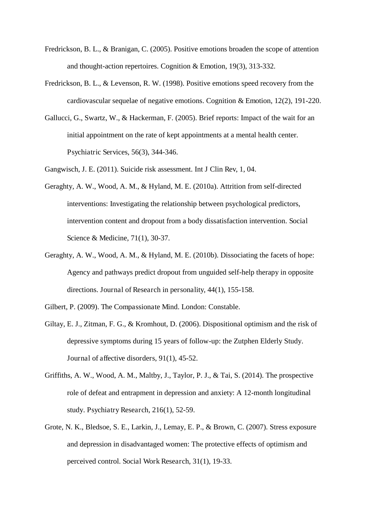- Fredrickson, B. L., & Branigan, C. (2005). Positive emotions broaden the scope of attention and thought-action repertoires. Cognition & Emotion, 19(3), 313-332.
- Fredrickson, B. L., & Levenson, R. W. (1998). Positive emotions speed recovery from the cardiovascular sequelae of negative emotions. Cognition & Emotion, 12(2), 191-220.
- Gallucci, G., Swartz, W., & Hackerman, F. (2005). Brief reports: Impact of the wait for an initial appointment on the rate of kept appointments at a mental health center. Psychiatric Services, 56(3), 344-346.
- Gangwisch, J. E. (2011). Suicide risk assessment. Int J Clin Rev, 1, 04.
- Geraghty, A. W., Wood, A. M., & Hyland, M. E. (2010a). Attrition from self-directed interventions: Investigating the relationship between psychological predictors, intervention content and dropout from a body dissatisfaction intervention. Social Science & Medicine, 71(1), 30-37.
- Geraghty, A. W., Wood, A. M., & Hyland, M. E. (2010b). Dissociating the facets of hope: Agency and pathways predict dropout from unguided self-help therapy in opposite directions. Journal of Research in personality, 44(1), 155-158.
- Gilbert, P. (2009). The Compassionate Mind. London: Constable.
- Giltay, E. J., Zitman, F. G., & Kromhout, D. (2006). Dispositional optimism and the risk of depressive symptoms during 15 years of follow-up: the Zutphen Elderly Study. Journal of affective disorders, 91(1), 45-52.
- Griffiths, A. W., Wood, A. M., Maltby, J., Taylor, P. J., & Tai, S. (2014). The prospective role of defeat and entrapment in depression and anxiety: A 12-month longitudinal study. Psychiatry Research, 216(1), 52-59.
- Grote, N. K., Bledsoe, S. E., Larkin, J., Lemay, E. P., & Brown, C. (2007). Stress exposure and depression in disadvantaged women: The protective effects of optimism and perceived control. Social Work Research, 31(1), 19-33.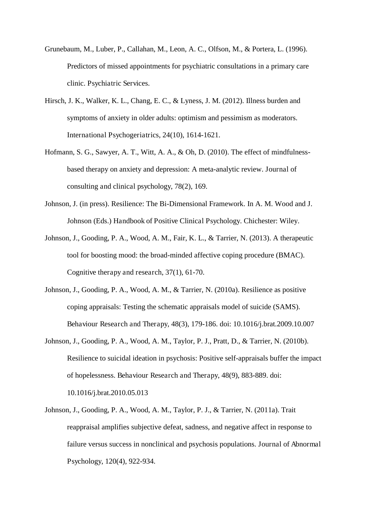- Grunebaum, M., Luber, P., Callahan, M., Leon, A. C., Olfson, M., & Portera, L. (1996). Predictors of missed appointments for psychiatric consultations in a primary care clinic. Psychiatric Services.
- Hirsch, J. K., Walker, K. L., Chang, E. C., & Lyness, J. M. (2012). Illness burden and symptoms of anxiety in older adults: optimism and pessimism as moderators. International Psychogeriatrics, 24(10), 1614-1621.
- Hofmann, S. G., Sawyer, A. T., Witt, A. A., & Oh, D. (2010). The effect of mindfulnessbased therapy on anxiety and depression: A meta-analytic review. Journal of consulting and clinical psychology, 78(2), 169.
- Johnson, J. (in press). Resilience: The Bi-Dimensional Framework. In A. M. Wood and J. Johnson (Eds.) Handbook of Positive Clinical Psychology. Chichester: Wiley.
- Johnson, J., Gooding, P. A., Wood, A. M., Fair, K. L., & Tarrier, N. (2013). A therapeutic tool for boosting mood: the broad-minded affective coping procedure (BMAC). Cognitive therapy and research, 37(1), 61-70.
- Johnson, J., Gooding, P. A., Wood, A. M., & Tarrier, N. (2010a). Resilience as positive coping appraisals: Testing the schematic appraisals model of suicide (SAMS). Behaviour Research and Therapy, 48(3), 179-186. doi: 10.1016/j.brat.2009.10.007
- Johnson, J., Gooding, P. A., Wood, A. M., Taylor, P. J., Pratt, D., & Tarrier, N. (2010b). Resilience to suicidal ideation in psychosis: Positive self-appraisals buffer the impact of hopelessness. Behaviour Research and Therapy, 48(9), 883-889. doi: 10.1016/j.brat.2010.05.013
- Johnson, J., Gooding, P. A., Wood, A. M., Taylor, P. J., & Tarrier, N. (2011a). Trait reappraisal amplifies subjective defeat, sadness, and negative affect in response to failure versus success in nonclinical and psychosis populations. Journal of Abnormal Psychology, 120(4), 922-934.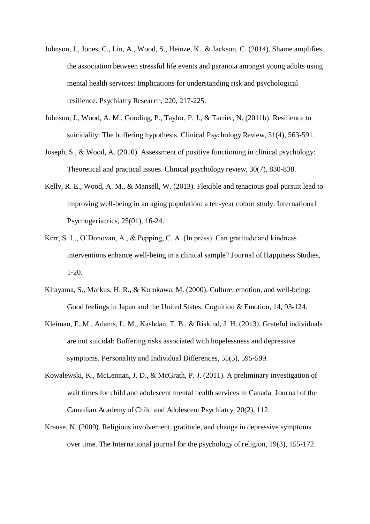- Johnson, J., Jones, C., Lin, A., Wood, S., Heinze, K., & Jackson, C. (2014). Shame amplifies the association between stressful life events and paranoia amongst young adults using mental health services: Implications for understanding risk and psychological resilience. Psychiatry Research, 220, 217-225.
- Johnson, J., Wood, A. M., Gooding, P., Taylor, P. J., & Tarrier, N. (2011b). Resilience to suicidality: The buffering hypothesis. Clinical Psychology Review, 31(4), 563-591.
- Joseph, S., & Wood, A. (2010). Assessment of positive functioning in clinical psychology: Theoretical and practical issues. Clinical psychology review, 30(7), 830-838.
- Kelly, R. E., Wood, A. M., & Mansell, W. (2013). Flexible and tenacious goal pursuit lead to improving well-being in an aging population: a ten-year cohort study. International Psychogeriatrics, 25(01), 16-24.
- Kerr, S. L., O'Donovan, A., & Pepping, C. A. (In press). Can gratitude and kindness interventions enhance well-being in a clinical sample? Journal of Happiness Studies, 1-20.
- Kitayama, S., Markus, H. R., & Kurokawa, M. (2000). Culture, emotion, and well-being: Good feelings in Japan and the United States. Cognition & Emotion, 14, 93-124.
- Kleiman, E. M., Adams, L. M., Kashdan, T. B., & Riskind, J. H. (2013). Grateful individuals are not suicidal: Buffering risks associated with hopelessness and depressive symptoms. Personality and Individual Differences, 55(5), 595-599.
- Kowalewski, K., McLennan, J. D., & McGrath, P. J. (2011). A preliminary investigation of wait times for child and adolescent mental health services in Canada. Journal of the Canadian Academy of Child and Adolescent Psychiatry, 20(2), 112.
- Krause, N. (2009). Religious involvement, gratitude, and change in depressive symptoms over time. The International journal for the psychology of religion, 19(3), 155-172.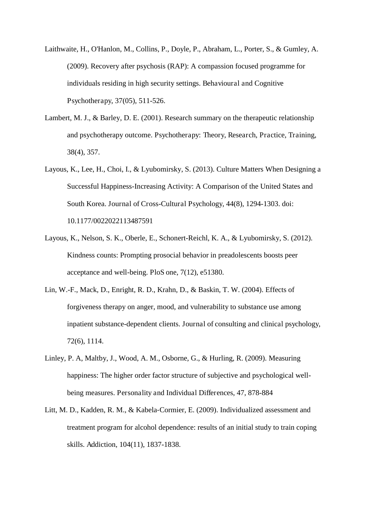Laithwaite, H., O'Hanlon, M., Collins, P., Doyle, P., Abraham, L., Porter, S., & Gumley, A. (2009). Recovery after psychosis (RAP): A compassion focused programme for individuals residing in high security settings. Behavioural and Cognitive Psychotherapy, 37(05), 511-526.

- Lambert, M. J., & Barley, D. E. (2001). Research summary on the therapeutic relationship and psychotherapy outcome. Psychotherapy: Theory, Research, Practice, Training, 38(4), 357.
- Layous, K., Lee, H., Choi, I., & Lyubomirsky, S. (2013). Culture Matters When Designing a Successful Happiness-Increasing Activity: A Comparison of the United States and South Korea. Journal of Cross-Cultural Psychology, 44(8), 1294-1303. doi: 10.1177/0022022113487591
- Layous, K., Nelson, S. K., Oberle, E., Schonert-Reichl, K. A., & Lyubomirsky, S. (2012). Kindness counts: Prompting prosocial behavior in preadolescents boosts peer acceptance and well-being. PloS one, 7(12), e51380.
- Lin, W.-F., Mack, D., Enright, R. D., Krahn, D., & Baskin, T. W. (2004). Effects of forgiveness therapy on anger, mood, and vulnerability to substance use among inpatient substance-dependent clients. Journal of consulting and clinical psychology, 72(6), 1114.
- Linley, P. A, Maltby, J., Wood, A. M., Osborne, G., & Hurling, R. (2009). Measuring happiness: The higher order factor structure of subjective and psychological wellbeing measures. Personality and Individual Differences, 47, 878-884
- Litt, M. D., Kadden, R. M., & Kabela-Cormier, E. (2009). Individualized assessment and treatment program for alcohol dependence: results of an initial study to train coping skills. Addiction, 104(11), 1837-1838.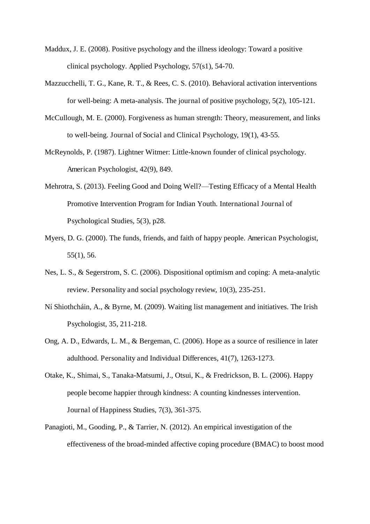- Maddux, J. E. (2008). Positive psychology and the illness ideology: Toward a positive clinical psychology. Applied Psychology, 57(s1), 54-70.
- Mazzucchelli, T. G., Kane, R. T., & Rees, C. S. (2010). Behavioral activation interventions for well-being: A meta-analysis. The journal of positive psychology, 5(2), 105-121.
- McCullough, M. E. (2000). Forgiveness as human strength: Theory, measurement, and links to well-being. Journal of Social and Clinical Psychology, 19(1), 43-55.
- McReynolds, P. (1987). Lightner Witmer: Little-known founder of clinical psychology. American Psychologist, 42(9), 849.
- Mehrotra, S. (2013). Feeling Good and Doing Well?—Testing Efficacy of a Mental Health Promotive Intervention Program for Indian Youth. International Journal of Psychological Studies, 5(3), p28.
- Myers, D. G. (2000). The funds, friends, and faith of happy people. American Psychologist, 55(1), 56.
- Nes, L. S., & Segerstrom, S. C. (2006). Dispositional optimism and coping: A meta-analytic review. Personality and social psychology review, 10(3), 235-251.
- Ní Shiothcháin, A., & Byrne, M. (2009). Waiting list management and initiatives. The Irish Psychologist, 35, 211-218.
- Ong, A. D., Edwards, L. M., & Bergeman, C. (2006). Hope as a source of resilience in later adulthood. Personality and Individual Differences, 41(7), 1263-1273.
- Otake, K., Shimai, S., Tanaka-Matsumi, J., Otsui, K., & Fredrickson, B. L. (2006). Happy people become happier through kindness: A counting kindnesses intervention. Journal of Happiness Studies, 7(3), 361-375.
- Panagioti, M., Gooding, P., & Tarrier, N. (2012). An empirical investigation of the effectiveness of the broad-minded affective coping procedure (BMAC) to boost mood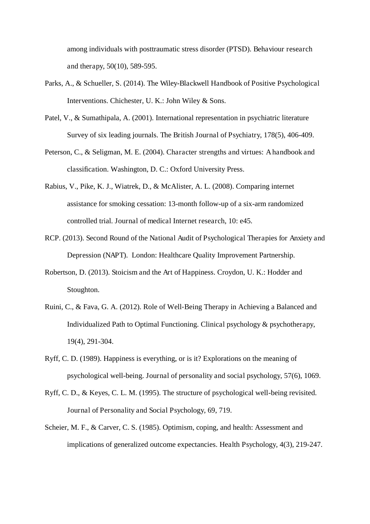among individuals with posttraumatic stress disorder (PTSD). Behaviour research and therapy, 50(10), 589-595.

- Parks, A., & Schueller, S. (2014). The Wiley-Blackwell Handbook of Positive Psychological Interventions. Chichester, U. K.: John Wiley & Sons.
- Patel, V., & Sumathipala, A. (2001). International representation in psychiatric literature Survey of six leading journals. The British Journal of Psychiatry, 178(5), 406-409.
- Peterson, C., & Seligman, M. E. (2004). Character strengths and virtues: A handbook and classification. Washington, D. C.: Oxford University Press.
- Rabius, V., Pike, K. J., Wiatrek, D., & McAlister, A. L. (2008). Comparing internet assistance for smoking cessation: 13-month follow-up of a six-arm randomized controlled trial. Journal of medical Internet research, 10: e45.
- RCP. (2013). Second Round of the National Audit of Psychological Therapies for Anxiety and Depression (NAPT). London: Healthcare Quality Improvement Partnership.
- Robertson, D. (2013). Stoicism and the Art of Happiness. Croydon, U. K.: Hodder and Stoughton.
- Ruini, C., & Fava, G. A. (2012). Role of Well-Being Therapy in Achieving a Balanced and Individualized Path to Optimal Functioning. Clinical psychology & psychotherapy, 19(4), 291-304.
- Ryff, C. D. (1989). Happiness is everything, or is it? Explorations on the meaning of psychological well-being. Journal of personality and social psychology, 57(6), 1069.
- Ryff, C. D., & Keyes, C. L. M. (1995). The structure of psychological well-being revisited. Journal of Personality and Social Psychology, 69, 719.
- Scheier, M. F., & Carver, C. S. (1985). Optimism, coping, and health: Assessment and implications of generalized outcome expectancies. Health Psychology, 4(3), 219-247.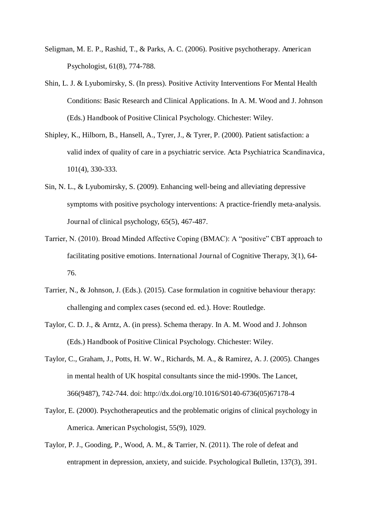- Seligman, M. E. P., Rashid, T., & Parks, A. C. (2006). Positive psychotherapy. American Psychologist, 61(8), 774-788.
- Shin, L. J. & Lyubomirsky, S. (In press). Positive Activity Interventions For Mental Health Conditions: Basic Research and Clinical Applications. In A. M. Wood and J. Johnson (Eds.) Handbook of Positive Clinical Psychology. Chichester: Wiley.
- Shipley, K., Hilborn, B., Hansell, A., Tyrer, J., & Tyrer, P. (2000). Patient satisfaction: a valid index of quality of care in a psychiatric service. Acta Psychiatrica Scandinavica, 101(4), 330-333.
- Sin, N. L.,  $&$  Lyubomirsky, S. (2009). Enhancing well-being and alleviating depressive symptoms with positive psychology interventions: A practice-friendly meta-analysis. Journal of clinical psychology, 65(5), 467-487.
- Tarrier, N. (2010). Broad Minded Affective Coping (BMAC): A "positive" CBT approach to facilitating positive emotions. International Journal of Cognitive Therapy, 3(1), 64- 76.
- Tarrier, N., & Johnson, J. (Eds.). (2015). Case formulation in cognitive behaviour therapy: challenging and complex cases (second ed. ed.). Hove: Routledge.
- Taylor, C. D. J., & Arntz, A. (in press). Schema therapy. In A. M. Wood and J. Johnson (Eds.) Handbook of Positive Clinical Psychology. Chichester: Wiley.
- Taylor, C., Graham, J., Potts, H. W. W., Richards, M. A., & Ramirez, A. J. (2005). Changes in mental health of UK hospital consultants since the mid-1990s. The Lancet, 366(9487), 742-744. doi: http://dx.doi.org/10.1016/S0140-6736(05)67178-4
- Taylor, E. (2000). Psychotherapeutics and the problematic origins of clinical psychology in America. American Psychologist, 55(9), 1029.
- Taylor, P. J., Gooding, P., Wood, A. M., & Tarrier, N. (2011). The role of defeat and entrapment in depression, anxiety, and suicide. Psychological Bulletin, 137(3), 391.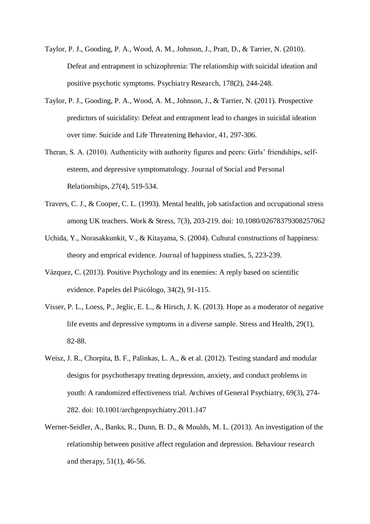- Taylor, P. J., Gooding, P. A., Wood, A. M., Johnson, J., Pratt, D., & Tarrier, N. (2010). Defeat and entrapment in schizophrenia: The relationship with suicidal ideation and positive psychotic symptoms. Psychiatry Research, 178(2), 244-248.
- Taylor, P. J., Gooding, P. A., Wood, A. M., Johnson, J., & Tarrier, N. (2011). Prospective predictors of suicidality: Defeat and entrapment lead to changes in suicidal ideation over time. Suicide and Life Threatening Behavior, 41, 297-306.
- Theran, S. A. (2010). Authenticity with authority figures and peers: Girls' friendships, selfesteem, and depressive symptomatology. Journal of Social and Personal Relationships, 27(4), 519-534.
- Travers, C. J., & Cooper, C. L. (1993). Mental health, job satisfaction and occupational stress among UK teachers. Work & Stress, 7(3), 203-219. doi: 10.1080/02678379308257062
- Uchida, Y., Norasakkunkit, V., & Kitayama, S. (2004). Cultural constructions of happiness: theory and emprical evidence. Journal of happiness studies, 5, 223-239.
- Vázquez, C. (2013). Positive Psychology and its enemies: A reply based on scientific evidence. Papeles del Psicólogo, 34(2), 91-115.
- Visser, P. L., Loess, P., Jeglic, E. L., & Hirsch, J. K. (2013). Hope as a moderator of negative life events and depressive symptoms in a diverse sample. Stress and Health, 29(1), 82-88.
- Weisz, J. R., Chorpita, B. F., Palinkas, L. A., & et al. (2012). Testing standard and modular designs for psychotherapy treating depression, anxiety, and conduct problems in youth: A randomized effectiveness trial. Archives of General Psychiatry, 69(3), 274- 282. doi: 10.1001/archgenpsychiatry.2011.147
- Werner-Seidler, A., Banks, R., Dunn, B. D., & Moulds, M. L. (2013). An investigation of the relationship between positive affect regulation and depression. Behaviour research and therapy, 51(1), 46-56.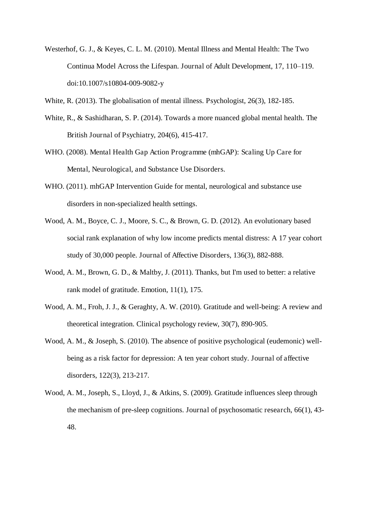Westerhof, G. J., & Keyes, C. L. M. (2010). Mental Illness and Mental Health: The Two Continua Model Across the Lifespan. Journal of Adult Development, 17, 110–119. doi:10.1007/s10804-009-9082-y

White, R. (2013). The globalisation of mental illness. Psychologist, 26(3), 182-185.

- White, R., & Sashidharan, S. P. (2014). Towards a more nuanced global mental health. The British Journal of Psychiatry, 204(6), 415-417.
- WHO. (2008). Mental Health Gap Action Programme (mhGAP): Scaling Up Care for Mental, Neurological, and Substance Use Disorders.
- WHO. (2011). mhGAP Intervention Guide for mental, neurological and substance use disorders in non-specialized health settings.
- Wood, A. M., Boyce, C. J., Moore, S. C., & Brown, G. D. (2012). An evolutionary based social rank explanation of why low income predicts mental distress: A 17 year cohort study of 30,000 people. Journal of Affective Disorders, 136(3), 882-888.
- Wood, A. M., Brown, G. D., & Maltby, J. (2011). Thanks, but I'm used to better: a relative rank model of gratitude. Emotion, 11(1), 175.
- Wood, A. M., Froh, J. J., & Geraghty, A. W. (2010). Gratitude and well-being: A review and theoretical integration. Clinical psychology review, 30(7), 890-905.
- Wood, A. M., & Joseph, S. (2010). The absence of positive psychological (eudemonic) wellbeing as a risk factor for depression: A ten year cohort study. Journal of affective disorders, 122(3), 213-217.
- Wood, A. M., Joseph, S., Lloyd, J., & Atkins, S. (2009). Gratitude influences sleep through the mechanism of pre-sleep cognitions. Journal of psychosomatic research, 66(1), 43- 48.